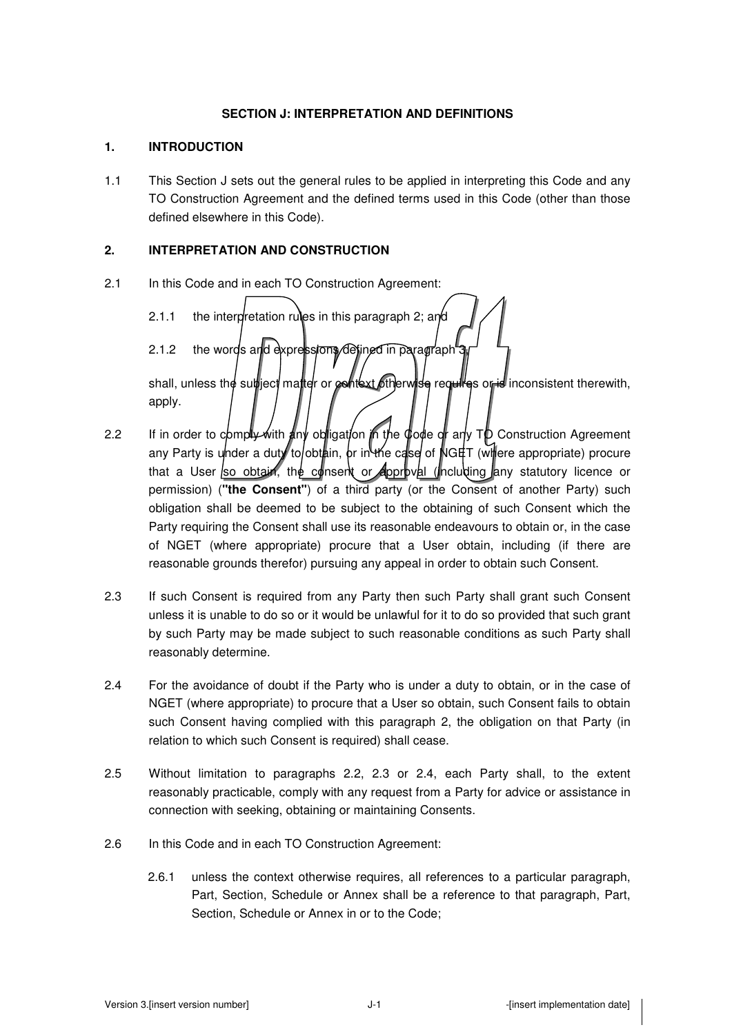### **SECTION J: INTERPRETATION AND DEFINITIONS**

### **1. INTRODUCTION**

1.1 This Section J sets out the general rules to be applied in interpreting this Code and any TO Construction Agreement and the defined terms used in this Code (other than those defined elsewhere in this Code).

## **2. INTERPRETATION AND CONSTRUCTION**

- 2.1 In this Code and in each TO Construction Agreement:
	- 2.1.1 the interpretation rules in this paragraph 2; and 2.1.2 the words and expressions defined in paragraph

shall, unless the subject matter or context otherwise requires or is inconsistent therewith, apply.

- 2.2 If in order to comply with any obligation in the code or any  $\tau_{\mathcal{P}}$  Construction Agreement any Party is under a duty to obtain, or in the case of  $NGHT$  (where appropriate) procure that a User so obtain, the consent or approval (including any statutory licence or permission) (**"the Consent"**) of a third party (or the Consent of another Party) such obligation shall be deemed to be subject to the obtaining of such Consent which the Party requiring the Consent shall use its reasonable endeavours to obtain or, in the case of NGET (where appropriate) procure that a User obtain, including (if there are reasonable grounds therefor) pursuing any appeal in order to obtain such Consent.
- 2.3 If such Consent is required from any Party then such Party shall grant such Consent unless it is unable to do so or it would be unlawful for it to do so provided that such grant by such Party may be made subject to such reasonable conditions as such Party shall reasonably determine.
- 2.4 For the avoidance of doubt if the Party who is under a duty to obtain, or in the case of NGET (where appropriate) to procure that a User so obtain, such Consent fails to obtain such Consent having complied with this paragraph 2, the obligation on that Party (in relation to which such Consent is required) shall cease.
- 2.5 Without limitation to paragraphs 2.2, 2.3 or 2.4, each Party shall, to the extent reasonably practicable, comply with any request from a Party for advice or assistance in connection with seeking, obtaining or maintaining Consents.
- 2.6 In this Code and in each TO Construction Agreement:
	- 2.6.1 unless the context otherwise requires, all references to a particular paragraph, Part, Section, Schedule or Annex shall be a reference to that paragraph, Part, Section, Schedule or Annex in or to the Code;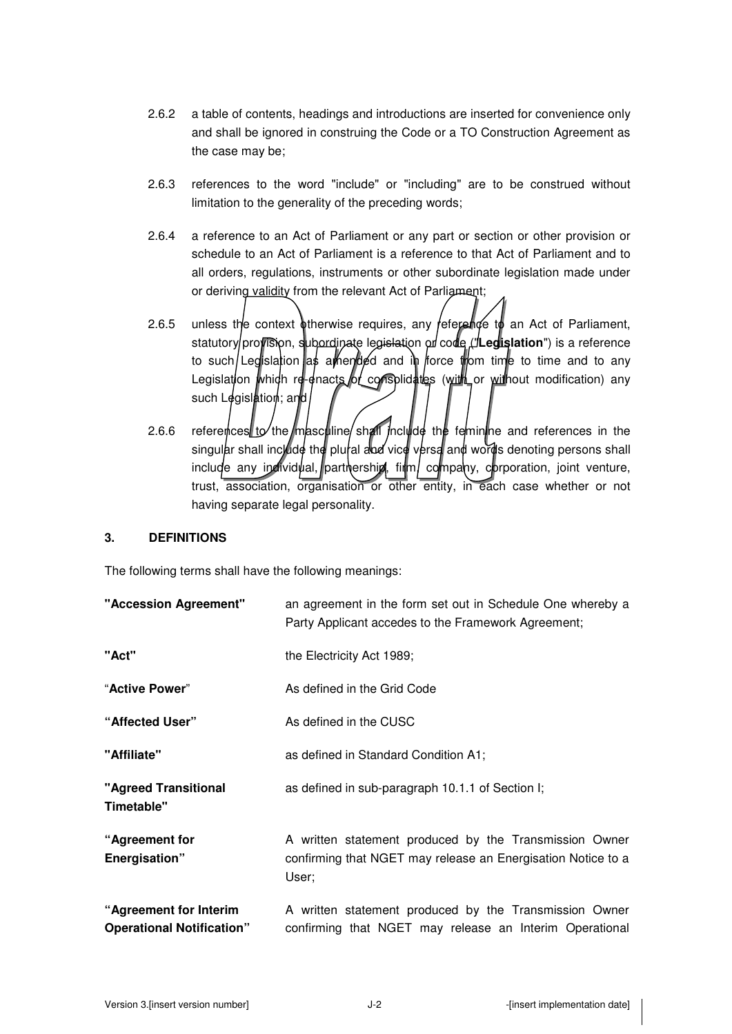- 2.6.2 a table of contents, headings and introductions are inserted for convenience only and shall be ignored in construing the Code or a TO Construction Agreement as the case may be;
- 2.6.3 references to the word "include" or "including" are to be construed without limitation to the generality of the preceding words;
- 2.6.4 a reference to an Act of Parliament or any part or section or other provision or schedule to an Act of Parliament is a reference to that Act of Parliament and to all orders, regulations, instruments or other subordinate legislation made under or deriving validity from the relevant Act of Parliament;
- 2.6.5 unless the context otherwise requires, any reference to an Act of Parliament, statutory provision, subordinate legislation or code ("Legislation") is a reference to such/Legislation as a hended and in force from time to time and to any Legislation which re-enacts of consplidates (with or without modification) any such Legislation; and
- 2.6.6 references to the masculine shall include the feminine and references in the singular shall include the plural and vice versa and words denoting persons shall include any individual, partnership, firm, company, corporation, joint venture, trust, association, organisation or other entity, in each case whether or not having separate legal personality.

## **3. DEFINITIONS**

The following terms shall have the following meanings:

| "Accession Agreement"                                      | an agreement in the form set out in Schedule One whereby a<br>Party Applicant accedes to the Framework Agreement;               |
|------------------------------------------------------------|---------------------------------------------------------------------------------------------------------------------------------|
| "Act"                                                      | the Electricity Act 1989;                                                                                                       |
| "Active Power"                                             | As defined in the Grid Code                                                                                                     |
| "Affected User"                                            | As defined in the CUSC                                                                                                          |
| "Affiliate"                                                | as defined in Standard Condition A1;                                                                                            |
| "Agreed Transitional<br>Timetable"                         | as defined in sub-paragraph 10.1.1 of Section I;                                                                                |
| "Agreement for<br>Energisation"                            | A written statement produced by the Transmission Owner<br>confirming that NGET may release an Energisation Notice to a<br>User; |
| "Agreement for Interim<br><b>Operational Notification"</b> | A written statement produced by the Transmission Owner<br>confirming that NGET may release an Interim Operational               |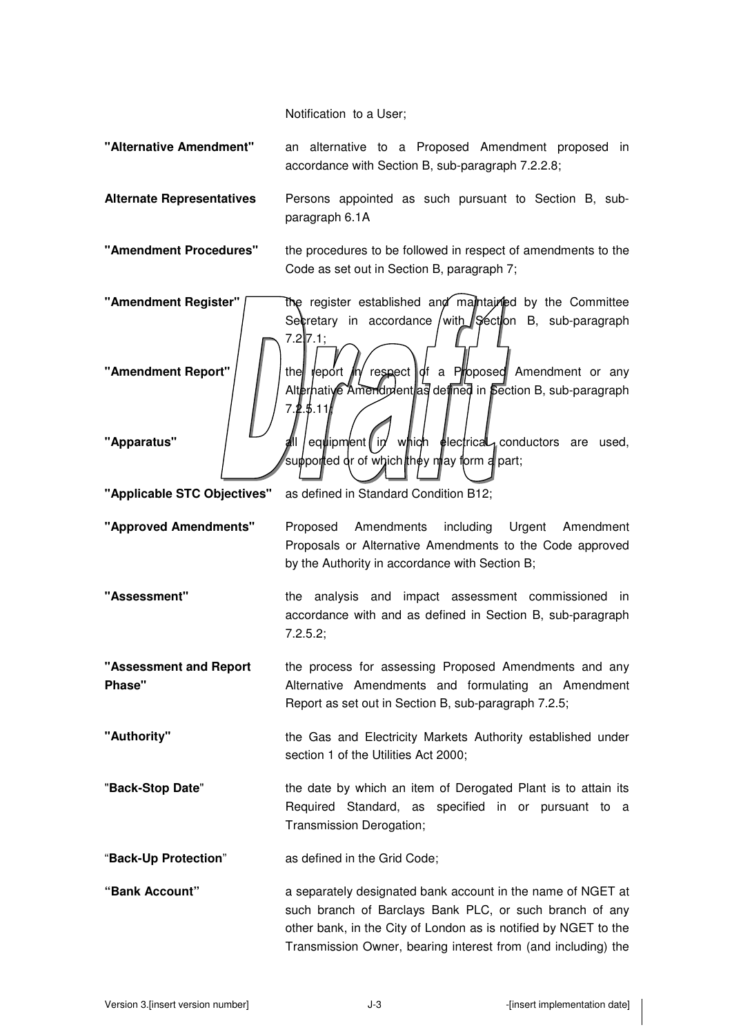Notification to a User;

**"Alternative Amendment"** an alternative to a Proposed Amendment proposed in accordance with Section B, sub-paragraph 7.2.2.8;

**Alternate Representatives** Persons appointed as such pursuant to Section B, subparagraph 6.1A

**"Amendment Procedures"** the procedures to be followed in respect of amendments to the Code as set out in Section B, paragraph 7;

**"Amendment Register"** The register established and maintained by the Committee Secretary in accordance with  $\sqrt{\frac{1}{2}}$  Section B, sub-paragraph  $7.2$  7.1; **"Amendment Report"** | | | the report  $\mathbb{I}$  respect  $\mathbb{I}$  of a Proposed Amendment or any Alternative Amendment as defined in Section B, sub-paragraph  $7.2.5.11$ **"Apparatus"** | **all equipment in which electrical conductors** are used, supported or of which they may form a part;

**"Applicable STC Objectives"** as defined in Standard Condition B12;

**"Approved Amendments"** Proposed Amendments including Urgent Amendment Proposals or Alternative Amendments to the Code approved by the Authority in accordance with Section B;

**"Assessment"** the analysis and impact assessment commissioned in accordance with and as defined in Section B, sub-paragraph 7.2.5.2;

**"Assessment and Report Phase"**  the process for assessing Proposed Amendments and any Alternative Amendments and formulating an Amendment Report as set out in Section B, sub-paragraph 7.2.5;

**"Authority"** the Gas and Electricity Markets Authority established under section 1 of the Utilities Act 2000;

"**Back-Stop Date**" the date by which an item of Derogated Plant is to attain its Required Standard, as specified in or pursuant to a Transmission Derogation;

"**Back-Up Protection**" as defined in the Grid Code;

**"Bank Account"** a separately designated bank account in the name of NGET at such branch of Barclays Bank PLC, or such branch of any other bank, in the City of London as is notified by NGET to the Transmission Owner, bearing interest from (and including) the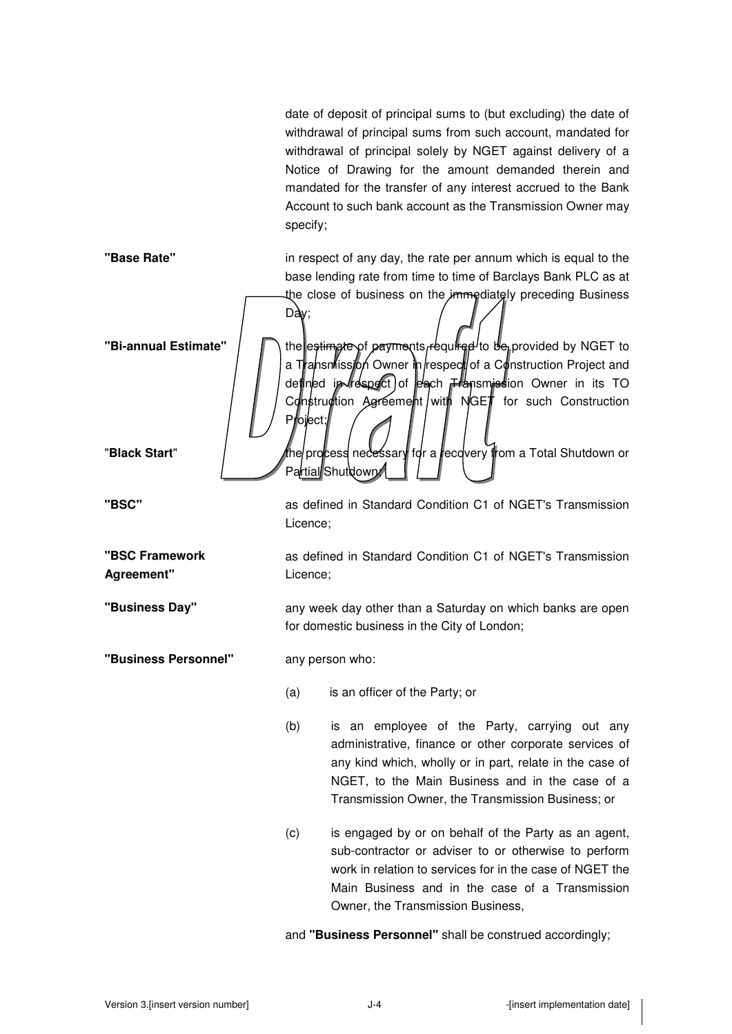date of deposit of principal sums to (but excluding) the date of withdrawal of principal sums from such account, mandated for withdrawal of principal solely by NGET against delivery of a Notice of Drawing for the amount demanded therein and mandated for the transfer of any interest accrued to the Bank Account to such bank account as the Transmission Owner may specify;

**"Base Rate"** in respect of any day, the rate per annum which is equal to the base lending rate from time to time of Barclays Bank PLC as at the close of business on the *immediately* preceding Business  $Day$ ; **"Bi-annual Estimate"**  $\bigcap$  the estimate of payments required to be provided by NGET to a Transmission Owner in respect of a Construction Project and defined in respect of each *Hansmission* Owner in its TO Construction Agreement with NGET for such Construction Project; "**Black Start**" for a recovery for a recovery from a Total Shutdown or Partial Shutdown **"BSC"** as defined in Standard Condition C1 of NGET's Transmission Licence; **"BSC Framework Agreement"**  as defined in Standard Condition C1 of NGET's Transmission Licence; **"Business Day"** any week day other than a Saturday on which banks are open for domestic business in the City of London; **"Business Personnel"** any person who: (a) is an officer of the Party; or (b) is an employee of the Party, carrying out any administrative, finance or other corporate services of any kind which, wholly or in part, relate in the case of NGET, to the Main Business and in the case of a Transmission Owner, the Transmission Business; or (c) is engaged by or on behalf of the Party as an agent, sub-contractor or adviser to or otherwise to perform work in relation to services for in the case of NGET the Main Business and in the case of a Transmission Owner, the Transmission Business,

and **"Business Personnel"** shall be construed accordingly;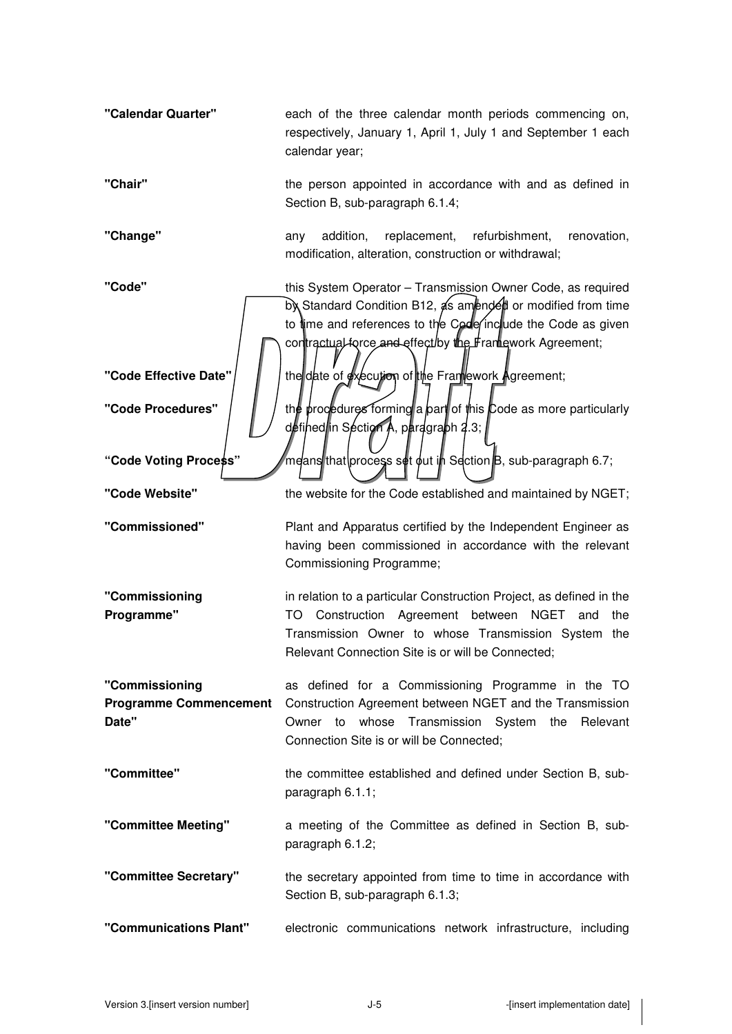| "Calendar Quarter"                                       | each of the three calendar month periods commencing on,<br>respectively, January 1, April 1, July 1 and September 1 each<br>calendar year;                                                                                                             |
|----------------------------------------------------------|--------------------------------------------------------------------------------------------------------------------------------------------------------------------------------------------------------------------------------------------------------|
| "Chair"                                                  | the person appointed in accordance with and as defined in<br>Section B, sub-paragraph 6.1.4;                                                                                                                                                           |
| "Change"                                                 | replacement,<br>addition,<br>refurbishment,<br>renovation,<br>any<br>modification, alteration, construction or withdrawal;                                                                                                                             |
| "Code"                                                   | this System Operator - Transmission Owner Code, as required<br>by Standard Condition B12, as amended or modified from time<br>to time and references to the Code include the Code as given<br>contractual force and effect by the Framework Agreement; |
| "Code Effective Date"                                    | the date of execution of the Framework Agreement;                                                                                                                                                                                                      |
| "Code Procedures"                                        | the procedures forming a part of this Code as more particularly<br>defined in Section A, pardgraph 2.3;                                                                                                                                                |
| "Code Voting Process"                                    | means that process set out in Section B, sub-paragraph 6.7;                                                                                                                                                                                            |
| "Code Website"                                           | the website for the Code established and maintained by NGET;                                                                                                                                                                                           |
| "Commissioned"                                           | Plant and Apparatus certified by the Independent Engineer as<br>having been commissioned in accordance with the relevant<br>Commissioning Programme;                                                                                                   |
| "Commissioning<br>Programme"                             | in relation to a particular Construction Project, as defined in the<br>Construction Agreement between NGET<br>TO<br>and<br>the<br>Transmission Owner to whose Transmission System the<br>Relevant Connection Site is or will be Connected;             |
| "Commissioning<br><b>Programme Commencement</b><br>Date" | as defined for a Commissioning Programme in the TO<br>Construction Agreement between NGET and the Transmission<br>Owner to whose Transmission System the Relevant<br>Connection Site is or will be Connected;                                          |
| "Committee"                                              | the committee established and defined under Section B, sub-<br>paragraph 6.1.1;                                                                                                                                                                        |
| "Committee Meeting"                                      | a meeting of the Committee as defined in Section B, sub-<br>paragraph 6.1.2;                                                                                                                                                                           |
| "Committee Secretary"                                    | the secretary appointed from time to time in accordance with<br>Section B, sub-paragraph 6.1.3;                                                                                                                                                        |
| "Communications Plant"                                   |                                                                                                                                                                                                                                                        |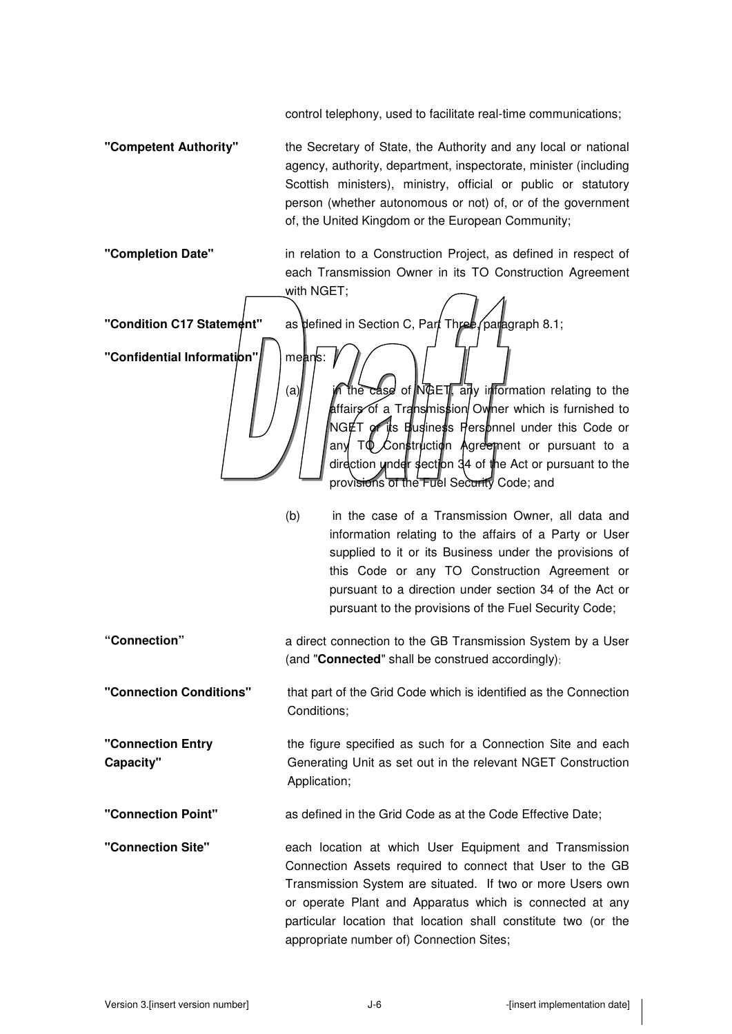control telephony, used to facilitate real-time communications;

**"Competent Authority"** the Secretary of State, the Authority and any local or national agency, authority, department, inspectorate, minister (including Scottish ministers), ministry, official or public or statutory person (whether autonomous or not) of, or of the government of, the United Kingdom or the European Community;

**"Completion Date"** in relation to a Construction Project, as defined in respect of each Transmission Owner in its TO Construction Agreement with NGET;

**"Confidential Information"** | means:

**"Condition C17 Statement"** as defined in Section C, Part Three (paragraph 8.1; (a)  $\int$  in the case of NGET, any information relating to the affairs of a Transmission Owner which is furnished to NGET or its Business Personnel under this Code or any T $\Phi$  Construction Agreement or pursuant to a direction under section 34 of the Act or pursuant to the provisions of the Fuel Security Code; and

- (b) in the case of a Transmission Owner, all data and information relating to the affairs of a Party or User supplied to it or its Business under the provisions of this Code or any TO Construction Agreement or pursuant to a direction under section 34 of the Act or pursuant to the provisions of the Fuel Security Code;
- **"Connection"** a direct connection to the GB Transmission System by a User (and "**Connected**" shall be construed accordingly);

**"Connection Conditions"** that part of the Grid Code which is identified as the Connection Conditions;

**"Connection Entry Capacity"**  the figure specified as such for a Connection Site and each Generating Unit as set out in the relevant NGET Construction Application;

**"Connection Point"** as defined in the Grid Code as at the Code Effective Date;

**"Connection Site"** each location at which User Equipment and Transmission Connection Assets required to connect that User to the GB Transmission System are situated. If two or more Users own or operate Plant and Apparatus which is connected at any particular location that location shall constitute two (or the appropriate number of) Connection Sites;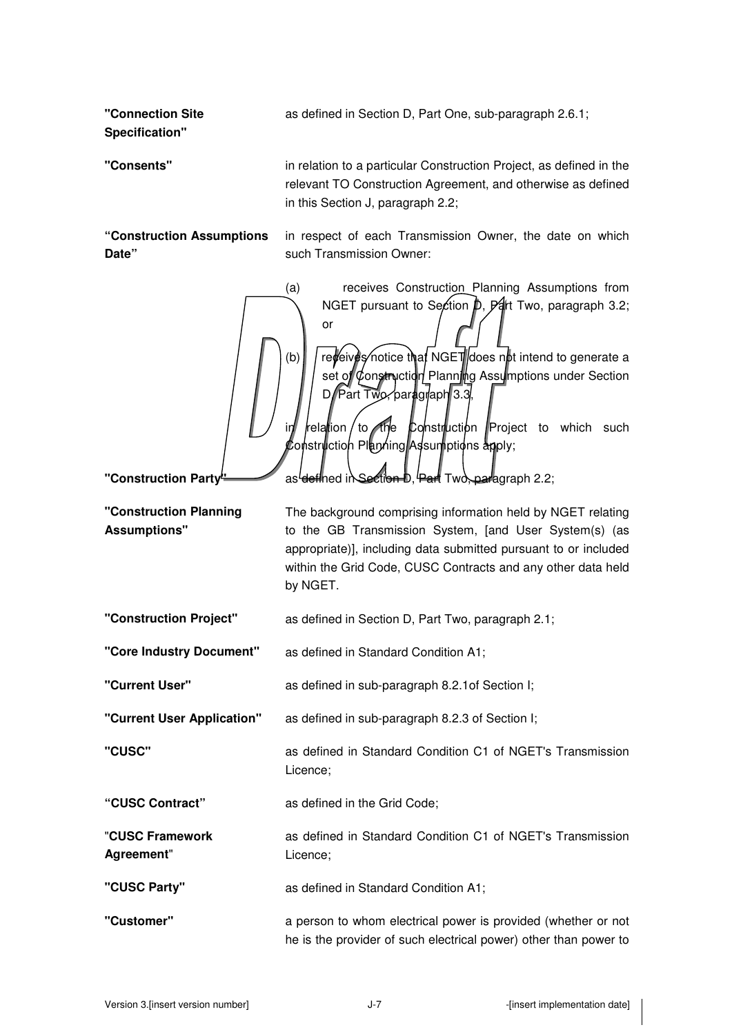as defined in Section D, Part One, sub-paragraph 2.6.1;

**"Connection Site Specification"** 

**Date"** 

**"Consents"** in relation to a particular Construction Project, as defined in the relevant TO Construction Agreement, and otherwise as defined in this Section J, paragraph 2.2;

**"Construction Assumptions** 

in respect of each Transmission Owner, the date on which such Transmission Owner:

(a) receives Construction Planning Assumptions from NGET pursuant to Section  $\beta$ ,  $\beta$  ard Two, paragraph 3.2; or

(b)  $\int$  receives notice that NGET does not intend to generate a set of Construction Planning Assumptions under Section D, Part Two, paragraph 3.3

relation to the Construction Project to which such  $\mathcal E$ onstruction Planning Assumptions apply;

**"Construction Party"** as defined in Section D, Part Two, paragraph 2.2;

**"Construction Planning Assumptions"**  The background comprising information held by NGET relating to the GB Transmission System, [and User System(s) (as appropriate)], including data submitted pursuant to or included within the Grid Code, CUSC Contracts and any other data held by NGET.

**"Construction Project"** as defined in Section D, Part Two, paragraph 2.1;

**"Core Industry Document"** as defined in Standard Condition A1;

**"Current User"** as defined in sub-paragraph 8.2.1of Section I;

**"Current User Application"** as defined in sub-paragraph 8.2.3 of Section I;

**"CUSC"** as defined in Standard Condition C1 of NGET's Transmission Licence;

**"CUSC Contract"** as defined in the Grid Code;

"**CUSC Framework Agreement**" as defined in Standard Condition C1 of NGET's Transmission Licence;

**"CUSC Party"** as defined in Standard Condition A1;

**"Customer"** a person to whom electrical power is provided (whether or not he is the provider of such electrical power) other than power to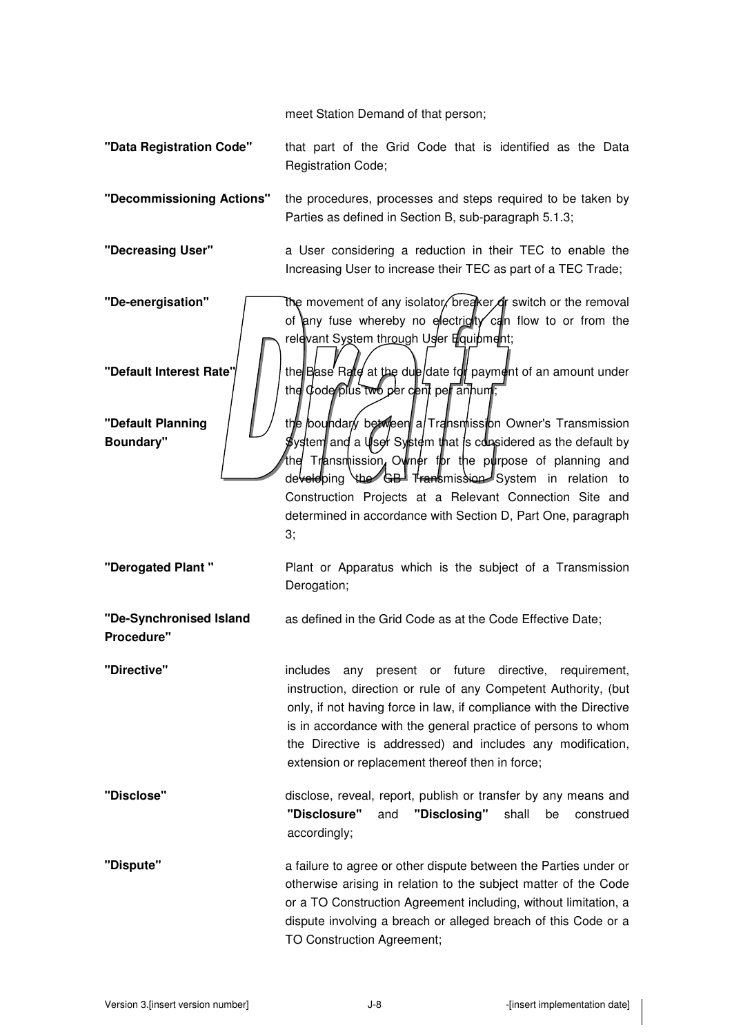meet Station Demand of that person;

- **"Data Registration Code"** that part of the Grid Code that is identified as the Data Registration Code;
- **"Decommissioning Actions"** the procedures, processes and steps required to be taken by Parties as defined in Section B, sub-paragraph 5.1.3;
- **"Decreasing User"** a User considering a reduction in their TEC to enable the Increasing User to increase their TEC as part of a TEC Trade;
- **"De-energisation" The movement of any isolator, breaker or switch or the removal** of any fuse whereby no electricity can flow to or from the relevant System through User Equipment;

**"Default Interest Rate" | | | the Base Rate at the due date for payment of an amount under** the  $\phi$  ode plus two per cent per annum

**"Default Planning Boundary"** 

**"Derogated Plant "** Plant or Apparatus which is the subject of a Transmission Derogation;

the boundary between a/Transmission Owner's Transmission ystem and a User System that is considered as the default by Transmission, Owner for the purpose of planning and developing the GB Transmission System in relation to Construction Projects at a Relevant Connection Site and determined in accordance with Section D, Part One, paragraph

**"De-Synchronised Island Procedure"**  as defined in the Grid Code as at the Code Effective Date;

3;

**"Directive"** includes any present or future directive, requirement, instruction, direction or rule of any Competent Authority, (but only, if not having force in law, if compliance with the Directive is in accordance with the general practice of persons to whom the Directive is addressed) and includes any modification, extension or replacement thereof then in force;

- **"Disclose"** disclose, reveal, report, publish or transfer by any means and **"Disclosure"** and **"Disclosing"** shall be construed accordingly;
- **"Dispute"** a failure to agree or other dispute between the Parties under or otherwise arising in relation to the subject matter of the Code or a TO Construction Agreement including, without limitation, a dispute involving a breach or alleged breach of this Code or a TO Construction Agreement;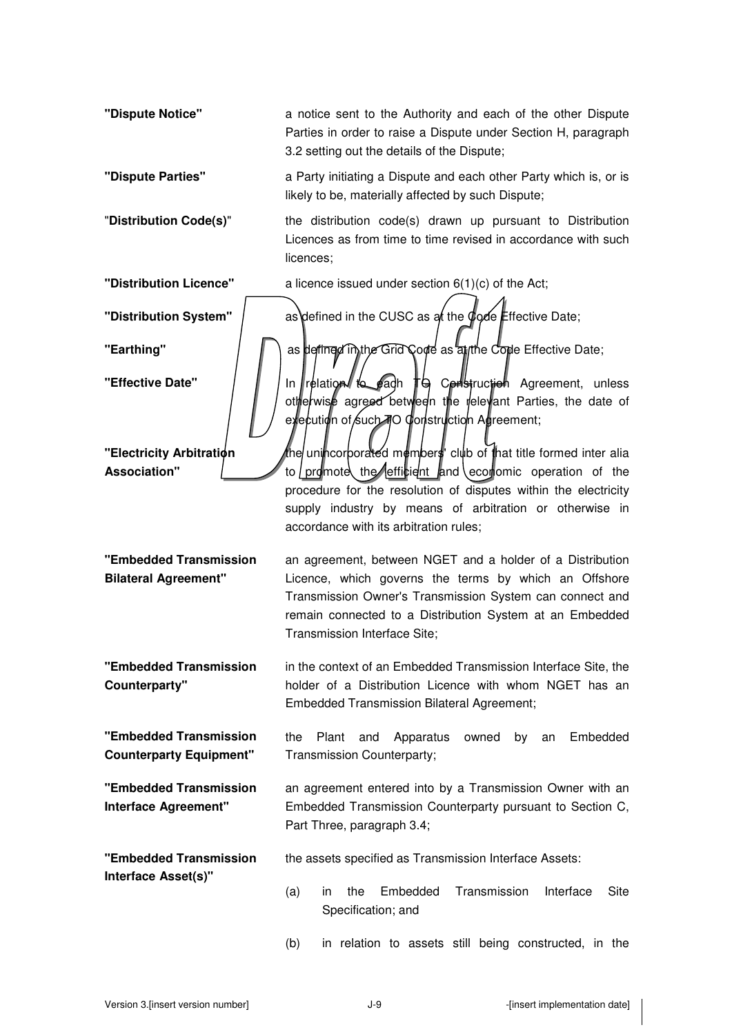**"Dispute Notice"** a notice sent to the Authority and each of the other Dispute Parties in order to raise a Dispute under Section H, paragraph 3.2 setting out the details of the Dispute;

**"Dispute Parties"** a Party initiating a Dispute and each other Party which is, or is likely to be, materially affected by such Dispute;

"**Distribution Code(s)**" the distribution code(s) drawn up pursuant to Distribution Licences as from time to time revised in accordance with such licences;

**"Distribution Licence"** a licence issued under section 6(1)(c) of the Act;

**"Electricity Arbitration Association"** 

**"Embedded Transmission Bilateral Agreement"** 

**"Embedded Transmission Counterparty"** 

**"Embedded Transmission Counterparty Equipment"** 

**"Embedded Transmission Interface Agreement"** 

**"Embedded Transmission Interface Asset(s)"** 

**"Distribution System"** | as defined in the CUSC as at the Code Effective Date;

**"Earthing"** | | as defined in the Grid Code as anthe Code Effective Date;

**"Effective Date" I** In relation to each TG Construction Agreement, unless otherwise agreed between the relevant Parties, the date of execution of Such 70 Construction Agreement;

> the unincorporated members' club of that title formed inter alia to promote the efficient and economic operation of the procedure for the resolution of disputes within the electricity supply industry by means of arbitration or otherwise in accordance with its arbitration rules;

an agreement, between NGET and a holder of a Distribution Licence, which governs the terms by which an Offshore Transmission Owner's Transmission System can connect and remain connected to a Distribution System at an Embedded Transmission Interface Site;

in the context of an Embedded Transmission Interface Site, the holder of a Distribution Licence with whom NGET has an Embedded Transmission Bilateral Agreement;

> the Plant and Apparatus owned by an Embedded Transmission Counterparty;

an agreement entered into by a Transmission Owner with an Embedded Transmission Counterparty pursuant to Section C, Part Three, paragraph 3.4;

the assets specified as Transmission Interface Assets:

- (a) in the Embedded Transmission Interface Site Specification; and
- (b) in relation to assets still being constructed, in the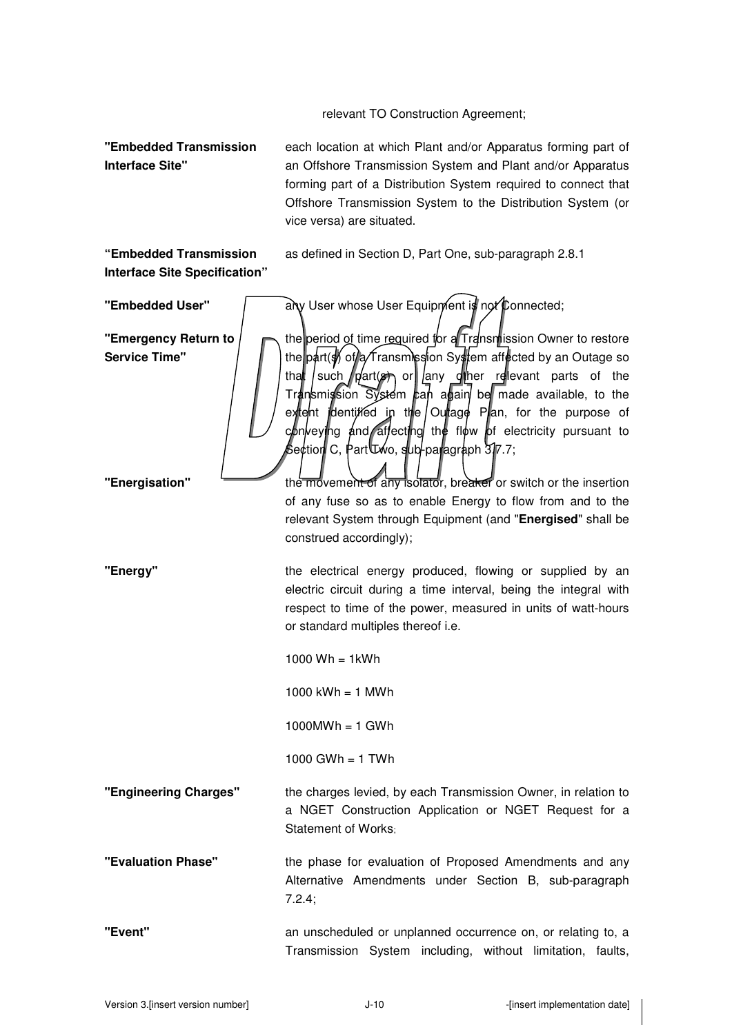relevant TO Construction Agreement;

**"Embedded Transmission Interface Site"** 

each location at which Plant and/or Apparatus forming part of an Offshore Transmission System and Plant and/or Apparatus forming part of a Distribution System required to connect that Offshore Transmission System to the Distribution System (or vice versa) are situated.

as defined in Section D, Part One, sub-paragraph 2.8.1

**"Embedded Transmission Interface Site Specification"** 

**"Embedded User"** any User whose User Equipment is not Connected; **"Emergency Return to Service Time"**  the period of time required for a Transmission Owner to restore the part( $\frac{1}{2}$  of a Transmission System affected by an Outage so that such  $p$  art(s) or  $q$  any other relevant parts of the Transmission System  $\epsilon$ an again be made available, to the extent identified in the Outage Plan, for the purpose of  $\epsilon$  conveying and affecting the flow of electricity pursuant to Section C, Part Two, sub-paragraph 3.7.7; **"Energisation" the movement of any isolator, breaker** or switch or the insertion of any fuse so as to enable Energy to flow from and to the relevant System through Equipment (and "**Energised**" shall be construed accordingly); **"Energy"** the electrical energy produced, flowing or supplied by an electric circuit during a time interval, being the integral with respect to time of the power, measured in units of watt-hours or standard multiples thereof i.e. 1000  $Wh = 1kWh$ 1000  $kWh = 1$  MWh  $1000MWh = 1$  GWh 1000 GWh =  $1$  TWh **"Engineering Charges"** the charges levied, by each Transmission Owner, in relation to a NGET Construction Application or NGET Request for a Statement of Works; **"Evaluation Phase"** the phase for evaluation of Proposed Amendments and any Alternative Amendments under Section B, sub-paragraph 7.2.4; **"Event"** an unscheduled or unplanned occurrence on, or relating to, a Transmission System including, without limitation, faults,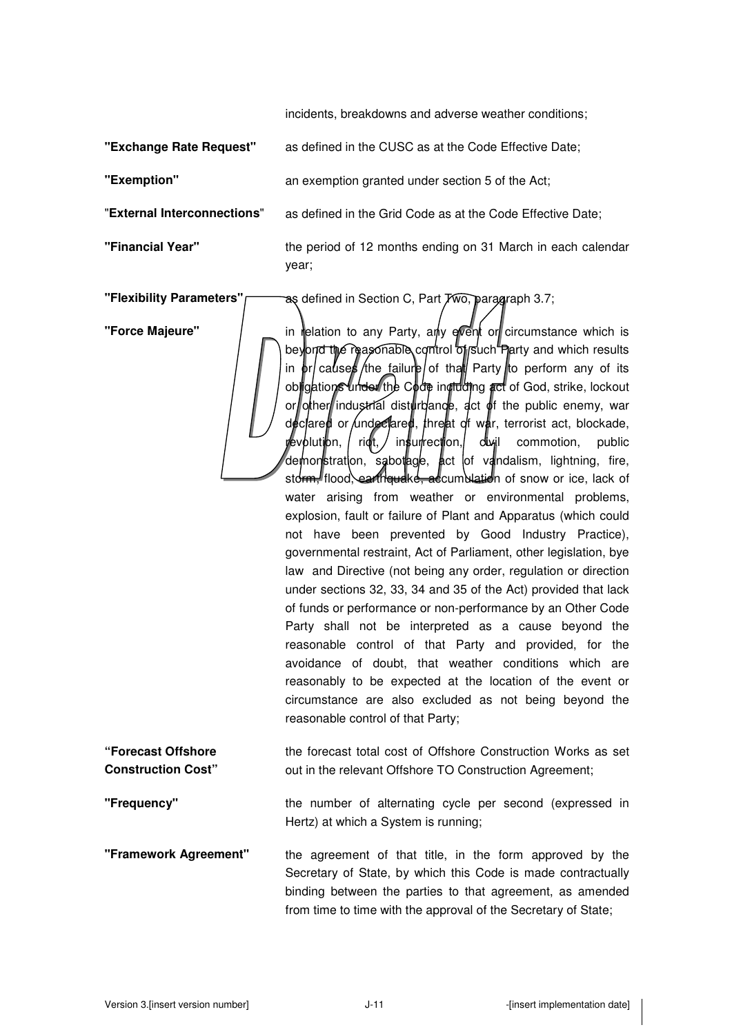incidents, breakdowns and adverse weather conditions;

**"Exchange Rate Request"** as defined in the CUSC as at the Code Effective Date;

**"Exemption"** an exemption granted under section 5 of the Act;

"**External Interconnections**" as defined in the Grid Code as at the Code Effective Date;

**"Financial Year"** the period of 12 months ending on 31 March in each calendar year;

**"Flexibility Parameters"** as defined in Section C, Part Two, paragraph 3.7;

**"Force Majeure"** | \_ in relation to any Party, any event or circumstance which is beyond the reasonable control of such Plarty and which results in  $\frac{b}{c}$  causes /the failure of that Party to perform any of its obligations under the Code including act of God, strike, lockout or other industrial disturbance, act of the public enemy, war declared or undeclared, threat of war, terrorist act, blockade, revolution, / rigt, / insurrection, divil commotion, public demonstration, sabotage, act of vandalism, lightning, fire, storm. flood, earthquake, accumblation of snow or ice, lack of water arising from weather or environmental problems, explosion, fault or failure of Plant and Apparatus (which could not have been prevented by Good Industry Practice), governmental restraint, Act of Parliament, other legislation, bye law and Directive (not being any order, regulation or direction under sections 32, 33, 34 and 35 of the Act) provided that lack of funds or performance or non-performance by an Other Code Party shall not be interpreted as a cause beyond the reasonable control of that Party and provided, for the avoidance of doubt, that weather conditions which are reasonably to be expected at the location of the event or circumstance are also excluded as not being beyond the reasonable control of that Party;

**"Forecast Offshore Construction Cost"**  the forecast total cost of Offshore Construction Works as set out in the relevant Offshore TO Construction Agreement;

**"Frequency"** the number of alternating cycle per second (expressed in Hertz) at which a System is running;

**"Framework Agreement"** the agreement of that title, in the form approved by the Secretary of State, by which this Code is made contractually binding between the parties to that agreement, as amended from time to time with the approval of the Secretary of State;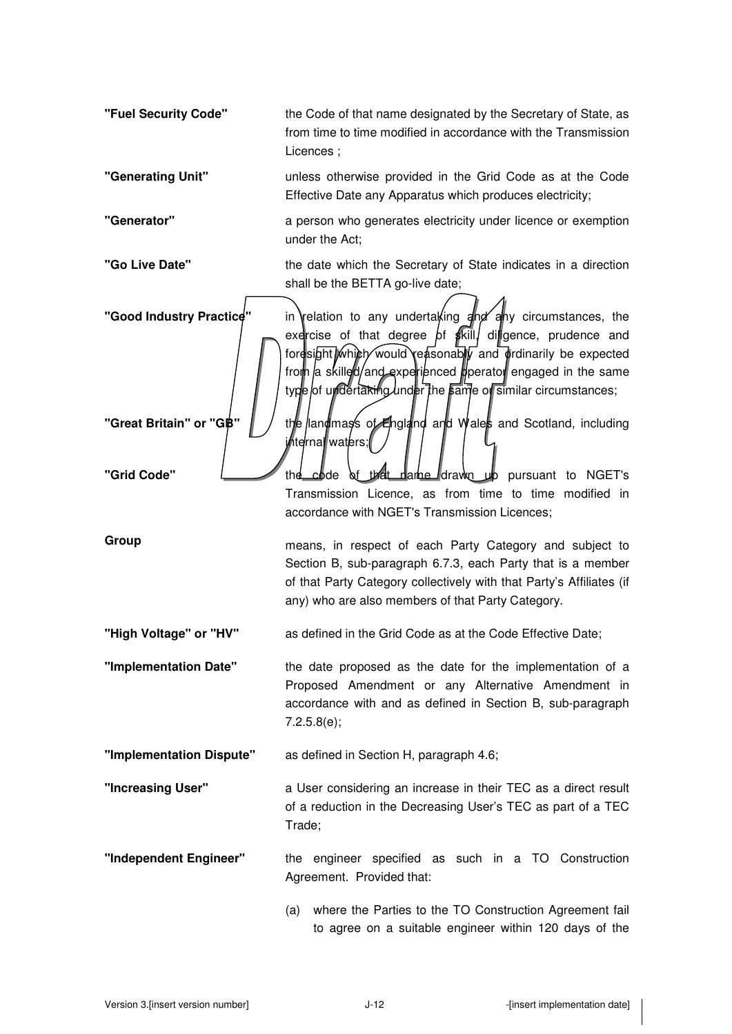| "Fuel Security Code"                                | the Code of that name designated by the Secretary of State, as<br>from time to time modified in accordance with the Transmission<br>Licences ;                                                                                                                                                                                    |
|-----------------------------------------------------|-----------------------------------------------------------------------------------------------------------------------------------------------------------------------------------------------------------------------------------------------------------------------------------------------------------------------------------|
| "Generating Unit"                                   | unless otherwise provided in the Grid Code as at the Code<br>Effective Date any Apparatus which produces electricity;                                                                                                                                                                                                             |
| "Generator"                                         | a person who generates electricity under licence or exemption<br>under the Act;                                                                                                                                                                                                                                                   |
| "Go Live Date"                                      | the date which the Secretary of State indicates in a direction<br>shall be the BETTA go-live date;                                                                                                                                                                                                                                |
| "Good Industry Practice"<br>"Great Britain" or "GB" | in relation to any undertaking and any circumstances, the<br>exercise of that degree of $\frac{1}{2}$ kill, diligence, prudence and<br>foresight which would reasonably and ordinarily be expected<br>from a skilled/and experienced pperator engaged in the same<br>type of undertakthg under the same of similar circumstances; |
|                                                     | the land mass of England and Wales and Scotland, including<br>i/hternallwaters;                                                                                                                                                                                                                                                   |
| "Grid Code"                                         | of that dame drawn up pursuant to NGET's<br>the code<br>Transmission Licence, as from time to time modified in<br>accordance with NGET's Transmission Licences;                                                                                                                                                                   |
| Group                                               | means, in respect of each Party Category and subject to<br>Section B, sub-paragraph 6.7.3, each Party that is a member<br>of that Party Category collectively with that Party's Affiliates (if<br>any) who are also members of that Party Category.                                                                               |
| "High Voltage" or "HV"                              | as defined in the Grid Code as at the Code Effective Date;                                                                                                                                                                                                                                                                        |
| "Implementation Date"                               | the date proposed as the date for the implementation of a<br>Proposed Amendment or any Alternative Amendment in<br>accordance with and as defined in Section B, sub-paragraph<br>7.2.5.8(e);                                                                                                                                      |
| "Implementation Dispute"                            | as defined in Section H, paragraph 4.6;                                                                                                                                                                                                                                                                                           |
| "Increasing User"                                   | a User considering an increase in their TEC as a direct result<br>of a reduction in the Decreasing User's TEC as part of a TEC<br>Trade;                                                                                                                                                                                          |
| "Independent Engineer"                              | the engineer specified as such in a TO Construction<br>Agreement. Provided that:                                                                                                                                                                                                                                                  |
|                                                     | where the Parties to the TO Construction Agreement fail<br>(a)<br>to agree on a suitable engineer within 120 days of the                                                                                                                                                                                                          |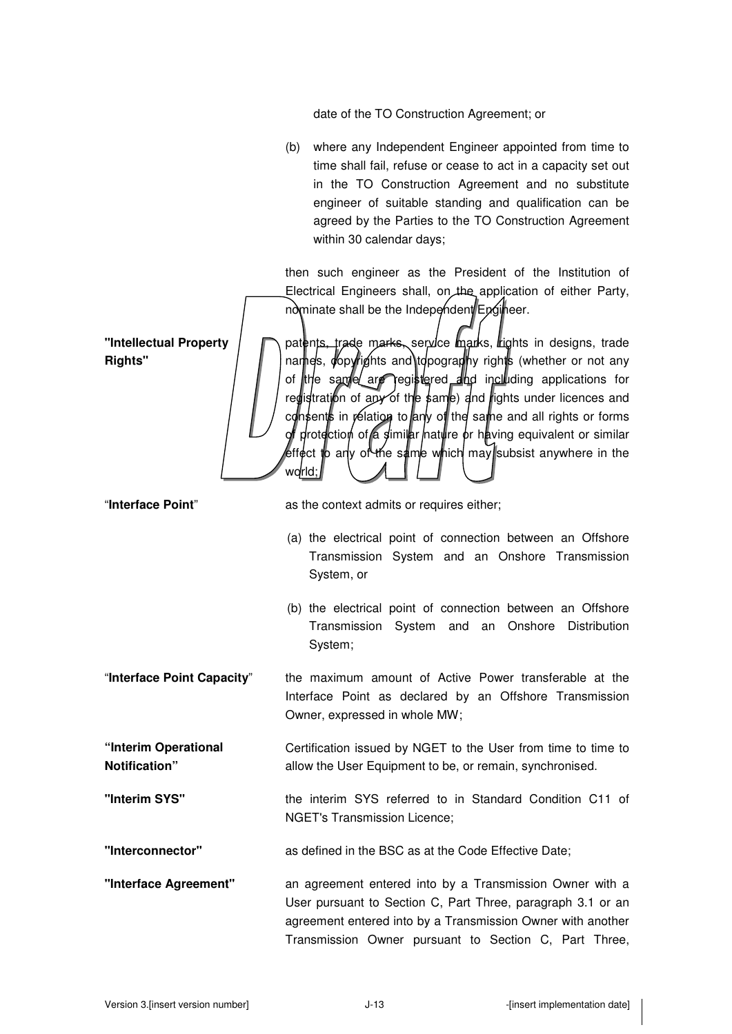date of the TO Construction Agreement; or

(b) where any Independent Engineer appointed from time to time shall fail, refuse or cease to act in a capacity set out in the TO Construction Agreement and no substitute engineer of suitable standing and qualification can be agreed by the Parties to the TO Construction Agreement within 30 calendar days;

then such engineer as the President of the Institution of Electrical Engineers shall, on the application of either Party, nominate shall be the Independent Engineer.

patents, trade marks, service marks, rights in designs, trade names, copyrights and topography rights (whether or not any of the same are registered and including applications for redistration of any of the same) and rights under licences and consents in relation to any of the same and all rights or forms protection of a similar nature or having equivalent or similar effect to any of the same which may subsist anywhere in the world;

**"Intellectual Property Rights"** 

"**Interface Point**" as the context admits or requires either;

- (a) the electrical point of connection between an Offshore Transmission System and an Onshore Transmission System, or
- (b) the electrical point of connection between an Offshore Transmission System and an Onshore Distribution System;
- "**Interface Point Capacity**" the maximum amount of Active Power transferable at the Interface Point as declared by an Offshore Transmission Owner, expressed in whole MW;
- **"Interim Operational Notification"**  Certification issued by NGET to the User from time to time to allow the User Equipment to be, or remain, synchronised.
- **"Interim SYS"** the interim SYS referred to in Standard Condition C11 of NGET's Transmission Licence;

**"Interconnector"** as defined in the BSC as at the Code Effective Date;

**"Interface Agreement"** an agreement entered into by a Transmission Owner with a User pursuant to Section C, Part Three, paragraph 3.1 or an agreement entered into by a Transmission Owner with another Transmission Owner pursuant to Section C, Part Three,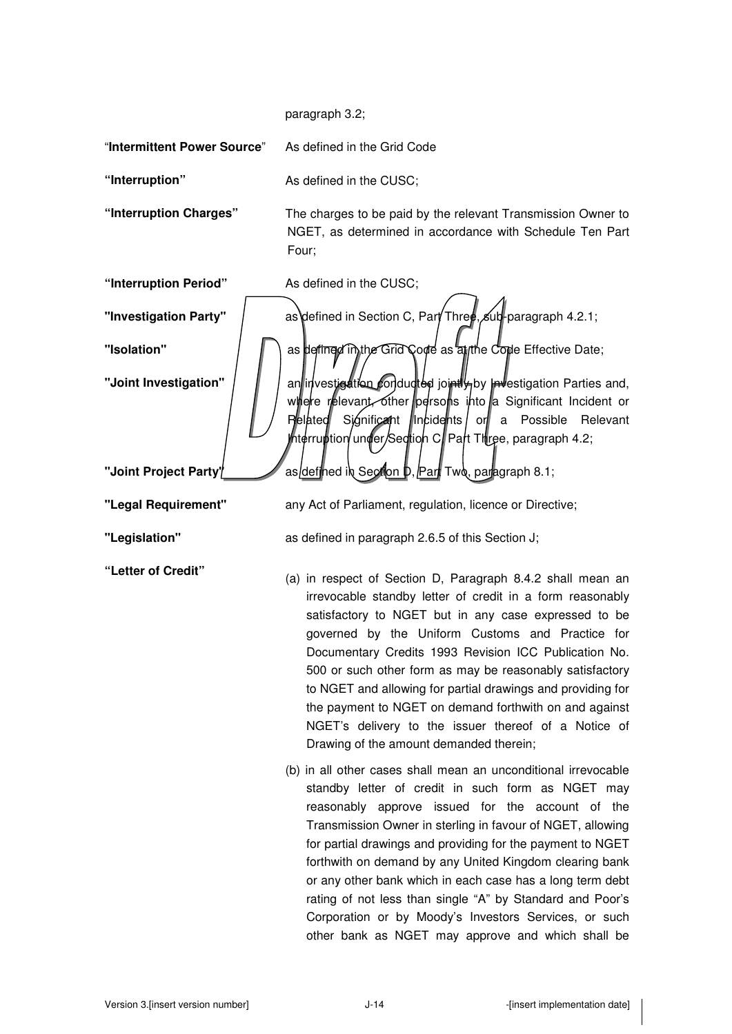paragraph 3.2;

"**Intermittent Power Source**" As defined in the Grid Code **"Interruption"** As defined in the CUSC; **"Interruption Charges"** The charges to be paid by the relevant Transmission Owner to NGET, as determined in accordance with Schedule Ten Part Four; **"Interruption Period"** As defined in the CUSC; "Investigation Party" | as\defined in Section C, Part Three, sub-paragraph 4.2.1; **"Isolation"** | | as defined in the Grid Code as aftic Code Effective Date; "**Joint Investigation"**  $\|\cdot\|$  an investigation conducted jointly by Investigation Parties and, where relevant, other persons into a Significant Incident or Related Significant lincidents or a Possible Relevant hterruption/under/Section C∥Part Three, paragraph 4.2; "**Joint Project Party"** as defined in Section **D**, Part Two, paragraph 8.1; **"Legal Requirement"** any Act of Parliament, regulation, licence or Directive; **"Legislation"** as defined in paragraph 2.6.5 of this Section J; **"Letter of Credit"** (a) in respect of Section D, Paragraph 8.4.2 shall mean an irrevocable standby letter of credit in a form reasonably satisfactory to NGET but in any case expressed to be governed by the Uniform Customs and Practice for Documentary Credits 1993 Revision ICC Publication No. 500 or such other form as may be reasonably satisfactory to NGET and allowing for partial drawings and providing for the payment to NGET on demand forthwith on and against NGET's delivery to the issuer thereof of a Notice of Drawing of the amount demanded therein; (b) in all other cases shall mean an unconditional irrevocable standby letter of credit in such form as NGET may reasonably approve issued for the account of the Transmission Owner in sterling in favour of NGET, allowing for partial drawings and providing for the payment to NGET forthwith on demand by any United Kingdom clearing bank or any other bank which in each case has a long term debt rating of not less than single "A" by Standard and Poor's Corporation or by Moody's Investors Services, or such other bank as NGET may approve and which shall be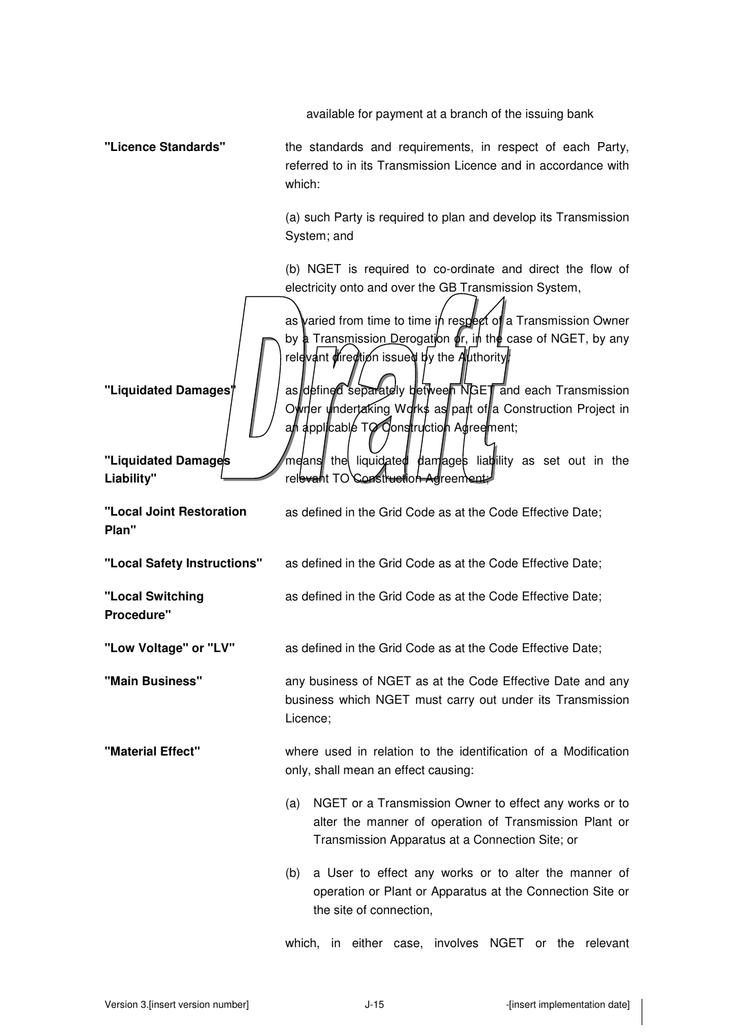available for payment at a branch of the issuing bank

**"Licence Standards"** the standards and requirements, in respect of each Party, referred to in its Transmission Licence and in accordance with which: (a) such Party is required to plan and develop its Transmission System; and (b) NGET is required to co-ordinate and direct the flow of electricity onto and over the GB Transmission System, as varied from time to time in respect of a Transmission Owner by a Transmission Derogation or, in the case of NGET, by any relevant direction issued by the Authority **"Liquidated Damages"** | as defined separately between NGET and each Transmission Owner undertaking Works as part of a Construction Project in an applicable TO Construction Agreement; **"Liquidated Damages Liability"**  means the liquidated damages liability as set out in the rel<del>eval</del>ht TO **"Local Joint Restoration Plan"**  as defined in the Grid Code as at the Code Effective Date; **"Local Safety Instructions"** as defined in the Grid Code as at the Code Effective Date; **"Local Switching Procedure"**  as defined in the Grid Code as at the Code Effective Date; **"Low Voltage" or "LV"** as defined in the Grid Code as at the Code Effective Date; **"Main Business"** any business of NGET as at the Code Effective Date and any business which NGET must carry out under its Transmission Licence; **"Material Effect"** where used in relation to the identification of a Modification only, shall mean an effect causing: (a) NGET or a Transmission Owner to effect any works or to alter the manner of operation of Transmission Plant or Transmission Apparatus at a Connection Site; or (b) a User to effect any works or to alter the manner of operation or Plant or Apparatus at the Connection Site or the site of connection,

which, in either case, involves NGET or the relevant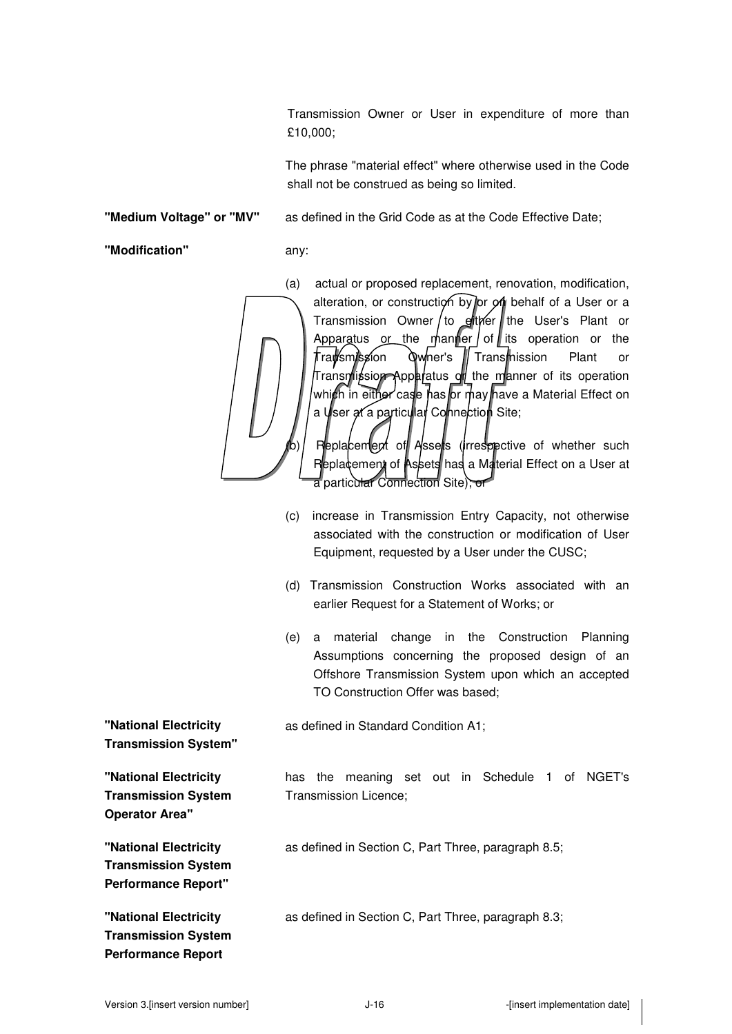Transmission Owner or User in expenditure of more than £10,000;

The phrase "material effect" where otherwise used in the Code shall not be construed as being so limited.

**"Medium Voltage" or "MV"** as defined in the Grid Code as at the Code Effective Date;

**"Modification"** any:

(a) actual or proposed replacement, renovation, modification, alteration, or construction by or on behalf of a User or a Transmission Owner to either the User's Plant or Apparatus or the manner of its operation or the Transmission Owner's Transmission Plant or Transmission Apparatus or the manner of its operation which in either case has or may have a Material Effect on a User at a particular Connection Site;

Replacement of Assets (irrespective of whether such Replacement of Assets has a Material Effect on a User at a particular Connection Site); or

- (c) increase in Transmission Entry Capacity, not otherwise associated with the construction or modification of User Equipment, requested by a User under the CUSC;
- (d) Transmission Construction Works associated with an earlier Request for a Statement of Works; or
- (e) a material change in the Construction Planning Assumptions concerning the proposed design of an Offshore Transmission System upon which an accepted TO Construction Offer was based;

as defined in Standard Condition A1;

has the meaning set out in Schedule 1 of NGET's Transmission Licence;

as defined in Section C, Part Three, paragraph 8.5;

as defined in Section C, Part Three, paragraph 8.3;

**"National Electricity Transmission System"** 

**"National Electricity Transmission System** 

**"National Electricity Transmission System Performance Report"** 

**"National Electricity Transmission System Performance Report** 

**Operator Area"**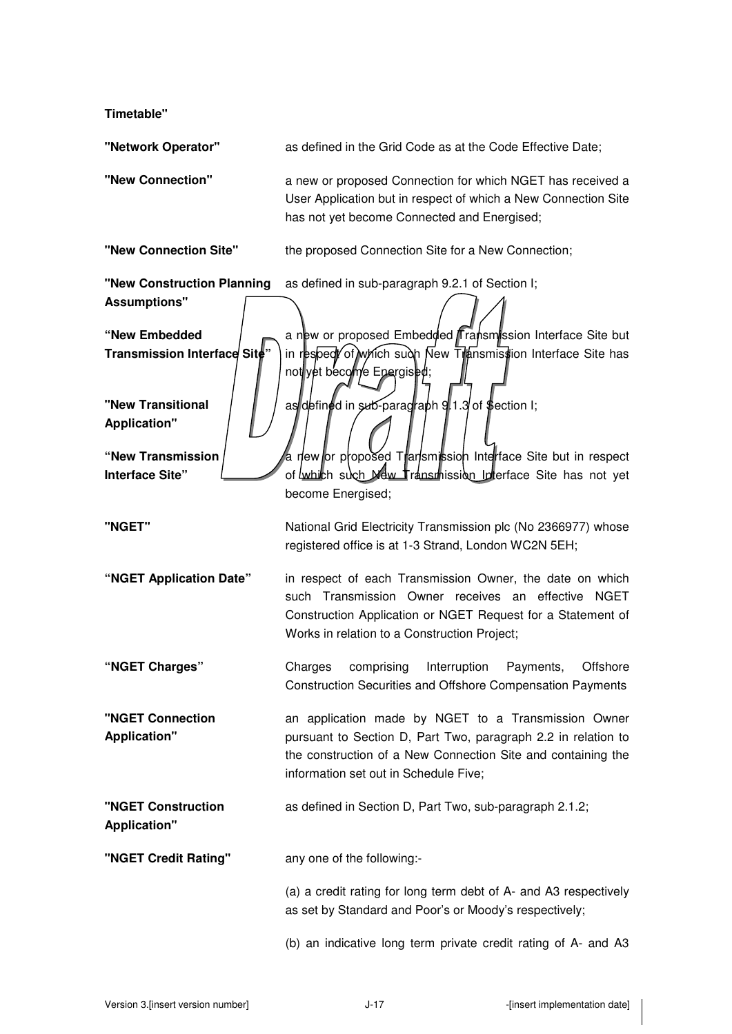**Timetable"** 

| "Network Operator"                                | as defined in the Grid Code as at the Code Effective Date;                                                                                                                                                                    |
|---------------------------------------------------|-------------------------------------------------------------------------------------------------------------------------------------------------------------------------------------------------------------------------------|
| "New Connection"                                  | a new or proposed Connection for which NGET has received a<br>User Application but in respect of which a New Connection Site<br>has not yet become Connected and Energised;                                                   |
| "New Connection Site"                             | the proposed Connection Site for a New Connection;                                                                                                                                                                            |
| "New Construction Planning<br><b>Assumptions"</b> | as defined in sub-paragraph 9.2.1 of Section I;                                                                                                                                                                               |
| "New Embedded<br>Transmission Interface Site"     | a new or proposed Embedded <i>Fransmission</i> Interface Site but<br>in respect of which such New Transmission Interface Site has<br>not yet become Epergised;                                                                |
| "New Transitional<br><b>Application"</b>          | as defined in sub-paragraph 9.1.3 of \$ection I;                                                                                                                                                                              |
| "New Transmission<br><b>Interface Site"</b>       | a new or proposed Transmission Interface Site but in respect<br>of which such Mew Transmission Interface Site has not yet<br>become Energised;                                                                                |
| "NGET"                                            | National Grid Electricity Transmission plc (No 2366977) whose<br>registered office is at 1-3 Strand, London WC2N 5EH;                                                                                                         |
| "NGET Application Date"                           | in respect of each Transmission Owner, the date on which<br>such Transmission Owner receives an effective NGET<br>Construction Application or NGET Request for a Statement of<br>Works in relation to a Construction Project; |
| "NGET Charges"                                    | Charges<br>comprising<br>Interruption<br>Payments,<br>Offshore<br>Construction Securities and Offshore Compensation Payments                                                                                                  |
| "NGET Connection<br><b>Application"</b>           | an application made by NGET to a Transmission Owner<br>pursuant to Section D, Part Two, paragraph 2.2 in relation to<br>the construction of a New Connection Site and containing the<br>information set out in Schedule Five; |
| "NGET Construction<br><b>Application"</b>         | as defined in Section D, Part Two, sub-paragraph 2.1.2;                                                                                                                                                                       |
| "NGET Credit Rating"                              | any one of the following:-                                                                                                                                                                                                    |
|                                                   | (a) a credit rating for long term debt of A- and A3 respectively<br>as set by Standard and Poor's or Moody's respectively;                                                                                                    |
|                                                   |                                                                                                                                                                                                                               |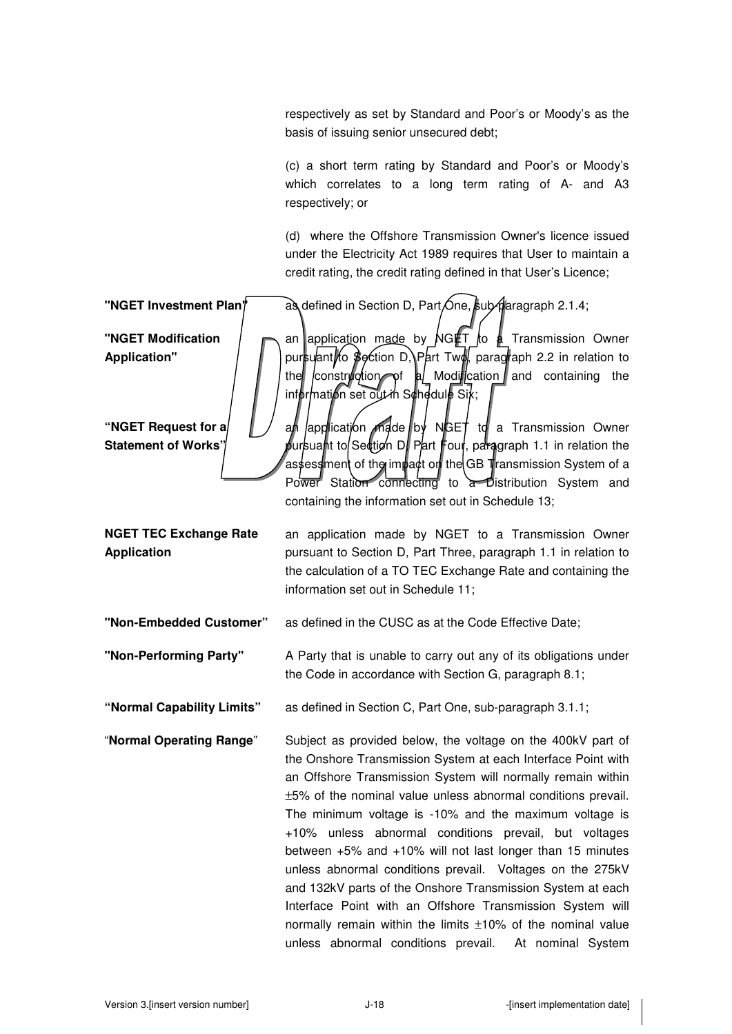respectively as set by Standard and Poor's or Moody's as the basis of issuing senior unsecured debt;

(c) a short term rating by Standard and Poor's or Moody's which correlates to a long term rating of A- and A3 respectively; or

(d) where the Offshore Transmission Owner's licence issued under the Electricity Act 1989 requires that User to maintain a credit rating, the credit rating defined in that User's Licence;

**"NGET Investment Plan"** as defined in Section D, Part One, sub-daragraph 2.1.4; **"NGET Modification Application"**  an application made by  $\overline{\text{NG}}$  Transmission Owner pursuant to Section D, Part Two, paragraph 2.2 in relation to the construction of a Modification and containing the  $\inf$  or mation set out in Schedule Six; **"NGET Request for a Statement of Works"**   $\alpha$  application made by NGET to a Transmission Owner pursuant to Section D. Part Four, paragraph 1.1 in relation the as $\sharp$ ess $\operatorname{\mathsf{l}}$ ment of the impact on the GB Transmission System of a Power Station connecting to a Distribution System and containing the information set out in Schedule 13; **NGET TEC Exchange Rate Application**  an application made by NGET to a Transmission Owner pursuant to Section D, Part Three, paragraph 1.1 in relation to the calculation of a TO TEC Exchange Rate and containing the information set out in Schedule 11; **"Non-Embedded Customer"** as defined in the CUSC as at the Code Effective Date; **"Non-Performing Party"** A Party that is unable to carry out any of its obligations under the Code in accordance with Section G, paragraph 8.1; **"Normal Capability Limits"** as defined in Section C, Part One, sub-paragraph 3.1.1; "**Normal Operating Range**" Subject as provided below, the voltage on the 400kV part of the Onshore Transmission System at each Interface Point with an Offshore Transmission System will normally remain within ±5% of the nominal value unless abnormal conditions prevail. The minimum voltage is -10% and the maximum voltage is +10% unless abnormal conditions prevail, but voltages between +5% and +10% will not last longer than 15 minutes unless abnormal conditions prevail. Voltages on the 275kV and 132kV parts of the Onshore Transmission System at each Interface Point with an Offshore Transmission System will normally remain within the limits ±10% of the nominal value unless abnormal conditions prevail. At nominal System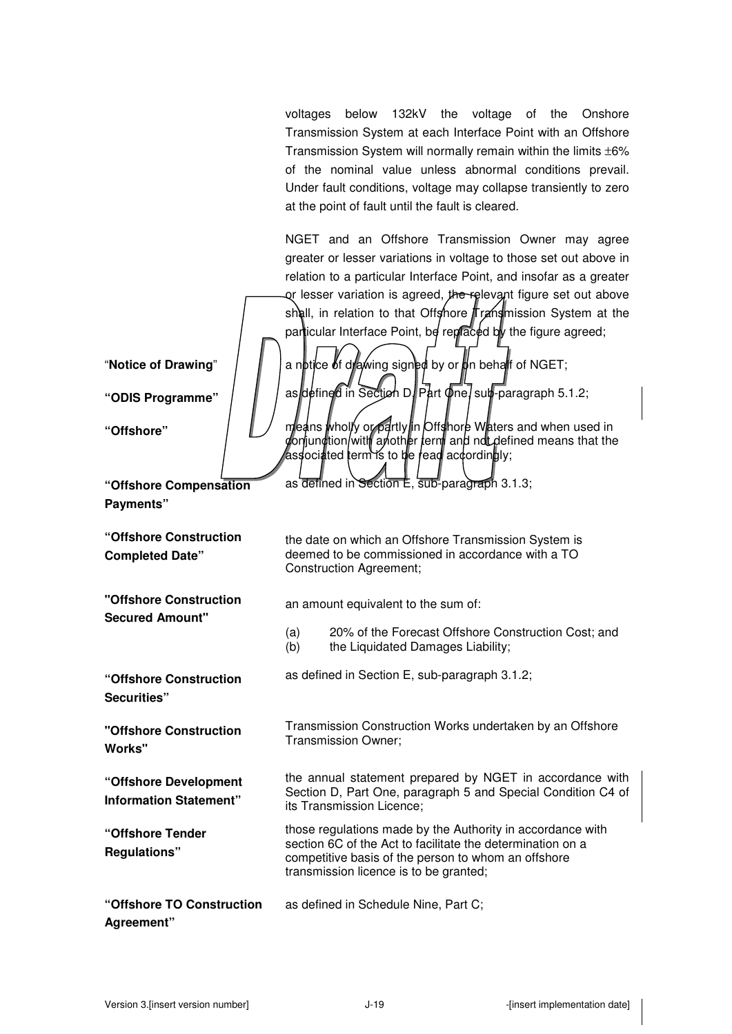voltages below 132kV the voltage of the Onshore Transmission System at each Interface Point with an Offshore Transmission System will normally remain within the limits ±6% of the nominal value unless abnormal conditions prevail. Under fault conditions, voltage may collapse transiently to zero at the point of fault until the fault is cleared.

NGET and an Offshore Transmission Owner may agree greater or lesser variations in voltage to those set out above in relation to a particular Interface Point, and insofar as a greater or lesser variation is agreed, the relevant figure set out above shall, in relation to that Offshore Transmission System at the particular Interface Point, be replaced by the figure agreed; "**Notice of Drawing"**  $\parallel$   $\parallel$  a notice of drawing signed by or on behalf of NGET; "ODIS Programme" | | | as defined in Section D. Part One, sub-paragraph 5.1.2; **"Offshore"** means wholly or partly in Offshore Waters and when used in conjunction/with another term and not defined means that the associated term is to be read accordingly; as defined in Section E, sub-paragraph 3.1.3; **"Offshore Construction**  the date on which an Offshore Transmission System is deemed to be commissioned in accordance with a TO Construction Agreement; an amount equivalent to the sum of: (a) 20% of the Forecast Offshore Construction Cost; and (b) the Liquidated Damages Liability; as defined in Section E, sub-paragraph 3.1.2; **"Offshore Construction**  Transmission Construction Works undertaken by an Offshore Transmission Owner; the annual statement prepared by NGET in accordance with Section D, Part One, paragraph 5 and Special Condition C4 of its Transmission Licence; **"Offshore Tender**  those regulations made by the Authority in accordance with section 6C of the Act to facilitate the determination on a competitive basis of the person to whom an offshore transmission licence is to be granted; **"Offshore TO Construction Agreement"**  as defined in Schedule Nine, Part C;

**"Offshore Compensation Payments"** 

**"Offshore Construction Completed Date"** 

**Secured Amount"** 

**"Offshore Construction Securities"** 

**Works"** 

**"Offshore Development Information Statement"** 

**Regulations"**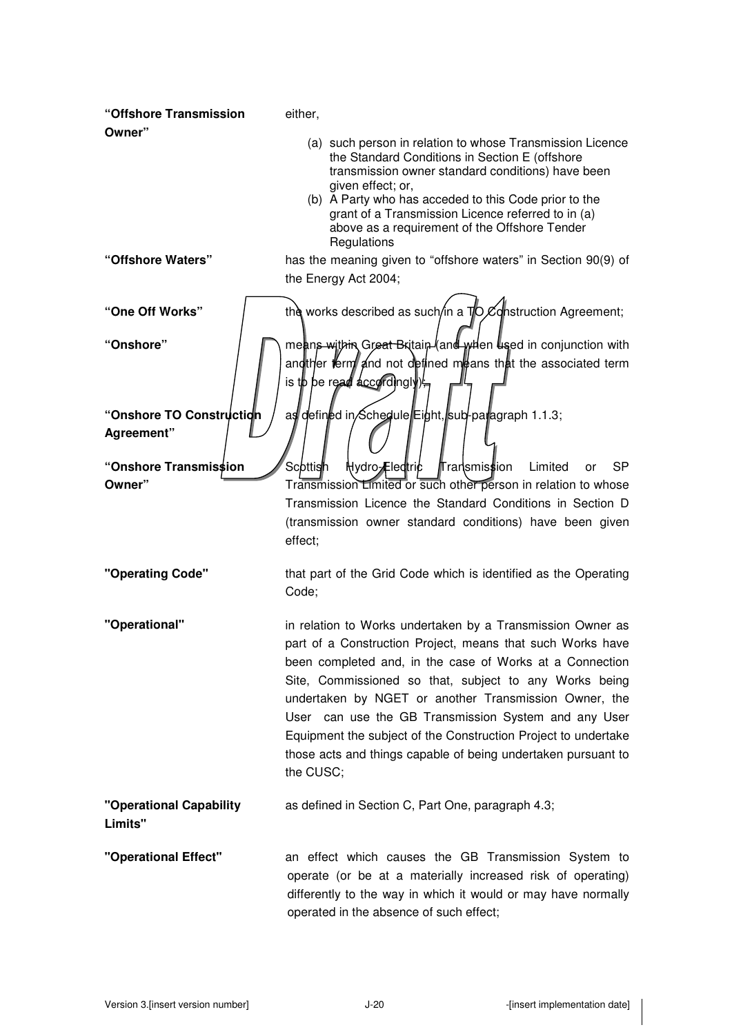| "Offshore Transmission                  | either,                                                                                                                                                                                                                                                                                                                                                                                                                                                                                                         |
|-----------------------------------------|-----------------------------------------------------------------------------------------------------------------------------------------------------------------------------------------------------------------------------------------------------------------------------------------------------------------------------------------------------------------------------------------------------------------------------------------------------------------------------------------------------------------|
| Owner"                                  | (a) such person in relation to whose Transmission Licence<br>the Standard Conditions in Section E (offshore<br>transmission owner standard conditions) have been<br>given effect; or,                                                                                                                                                                                                                                                                                                                           |
|                                         | (b) A Party who has acceded to this Code prior to the<br>grant of a Transmission Licence referred to in (a)<br>above as a requirement of the Offshore Tender<br>Regulations                                                                                                                                                                                                                                                                                                                                     |
| "Offshore Waters"                       | has the meaning given to "offshore waters" in Section 90(9) of<br>the Energy Act 2004;                                                                                                                                                                                                                                                                                                                                                                                                                          |
| "One Off Works"                         | the works described as such/in a $\nabla$ $\nabla$ department and algreement;                                                                                                                                                                                                                                                                                                                                                                                                                                   |
| "Onshore"                               | means within Great Britain (and when used in conjunction with<br>and ther ferm and not defined means that the associated term<br>is to be read accordingly)                                                                                                                                                                                                                                                                                                                                                     |
| "Onshore TO Construction"<br>Agreement" | as defined in Schedule Eight, sub-paragraph 1.1.3;                                                                                                                                                                                                                                                                                                                                                                                                                                                              |
| "Onshore Transmission                   | Scottish<br>Hydro-Eledtric<br><b>∏ransmission</b><br>Limited<br>SP.<br>or                                                                                                                                                                                                                                                                                                                                                                                                                                       |
| Owner"                                  | Transmission Limited or such other person in relation to whose<br>Transmission Licence the Standard Conditions in Section D<br>(transmission owner standard conditions) have been given<br>effect;                                                                                                                                                                                                                                                                                                              |
| "Operating Code"                        | that part of the Grid Code which is identified as the Operating<br>Code;                                                                                                                                                                                                                                                                                                                                                                                                                                        |
| "Operational"                           | in relation to Works undertaken by a Transmission Owner as<br>part of a Construction Project, means that such Works have<br>been completed and, in the case of Works at a Connection<br>Site, Commissioned so that, subject to any Works being<br>undertaken by NGET or another Transmission Owner, the<br>User can use the GB Transmission System and any User<br>Equipment the subject of the Construction Project to undertake<br>those acts and things capable of being undertaken pursuant to<br>the CUSC; |
| "Operational Capability<br>Limits"      | as defined in Section C, Part One, paragraph 4.3;                                                                                                                                                                                                                                                                                                                                                                                                                                                               |
| "Operational Effect"                    | an effect which causes the GB Transmission System to<br>operate (or be at a materially increased risk of operating)<br>differently to the way in which it would or may have normally<br>operated in the absence of such effect;                                                                                                                                                                                                                                                                                 |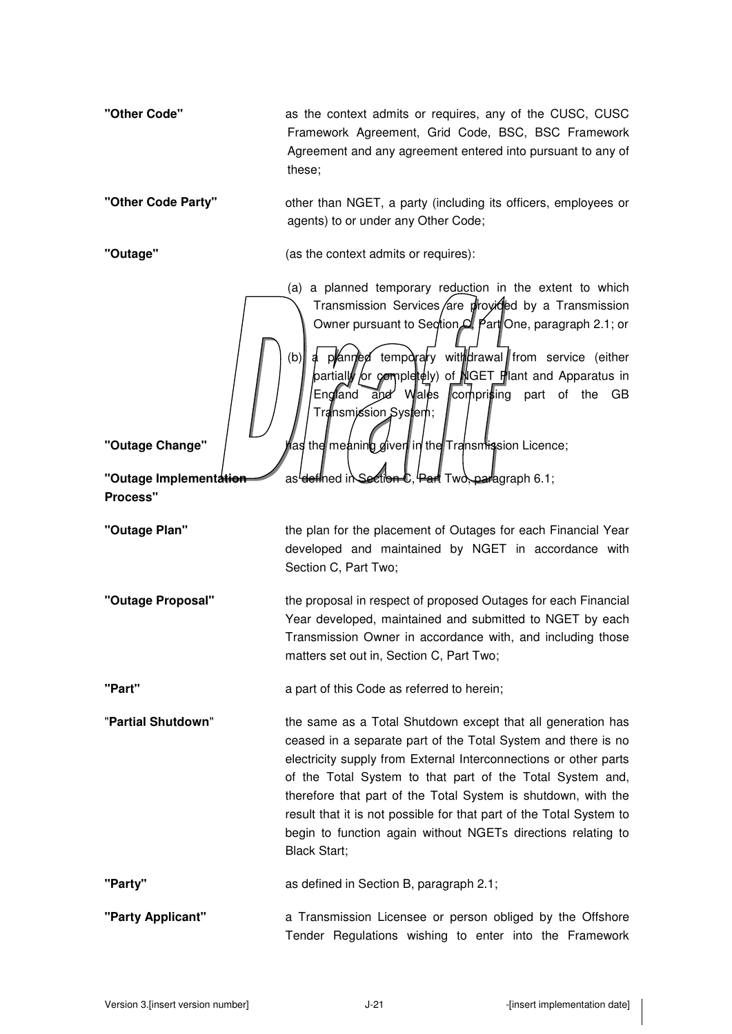| "Other Code"                               | as the context admits or requires, any of the CUSC, CUSC<br>Framework Agreement, Grid Code, BSC, BSC Framework<br>Agreement and any agreement entered into pursuant to any of<br>these;                                                                                                                                                                                                                                                                                                      |
|--------------------------------------------|----------------------------------------------------------------------------------------------------------------------------------------------------------------------------------------------------------------------------------------------------------------------------------------------------------------------------------------------------------------------------------------------------------------------------------------------------------------------------------------------|
| "Other Code Party"                         | other than NGET, a party (including its officers, employees or<br>agents) to or under any Other Code;                                                                                                                                                                                                                                                                                                                                                                                        |
| "Outage"                                   | (as the context admits or requires):                                                                                                                                                                                                                                                                                                                                                                                                                                                         |
|                                            | (a) a planned temporary reduction in the extent to which<br>Transmission Services/are proyicled by a Transmission<br>Owner pursuant to Section C. Part One, paragraph 2.1; or<br>a planned temporaly withdrawal from service (either<br>(b)<br>partially or completely) of NGET Plant and Apparatus in<br>comprising part of the<br>England and Wales<br>GB<br>Transmission System;                                                                                                          |
| "Outage Change"                            | as the meaning given in the Transmission Licence; had                                                                                                                                                                                                                                                                                                                                                                                                                                        |
| "Outage Implementation"<br><b>Process"</b> | as <del>'def</del> ined in Section C, Part Two, paragraph 6.1;                                                                                                                                                                                                                                                                                                                                                                                                                               |
| "Outage Plan"                              | the plan for the placement of Outages for each Financial Year<br>developed and maintained by NGET in accordance with<br>Section C, Part Two;                                                                                                                                                                                                                                                                                                                                                 |
| "Outage Proposal"                          | the proposal in respect of proposed Outages for each Financial<br>Year developed, maintained and submitted to NGET by each<br>Transmission Owner in accordance with, and including those<br>matters set out in, Section C, Part Two;                                                                                                                                                                                                                                                         |
| "Part"                                     | a part of this Code as referred to herein;                                                                                                                                                                                                                                                                                                                                                                                                                                                   |
| "Partial Shutdown"                         | the same as a Total Shutdown except that all generation has<br>ceased in a separate part of the Total System and there is no<br>electricity supply from External Interconnections or other parts<br>of the Total System to that part of the Total System and,<br>therefore that part of the Total System is shutdown, with the<br>result that it is not possible for that part of the Total System to<br>begin to function again without NGETs directions relating to<br><b>Black Start;</b> |
| "Party"                                    | as defined in Section B, paragraph 2.1;                                                                                                                                                                                                                                                                                                                                                                                                                                                      |
| "Party Applicant"                          | a Transmission Licensee or person obliged by the Offshore<br>Tender Regulations wishing to enter into the Framework                                                                                                                                                                                                                                                                                                                                                                          |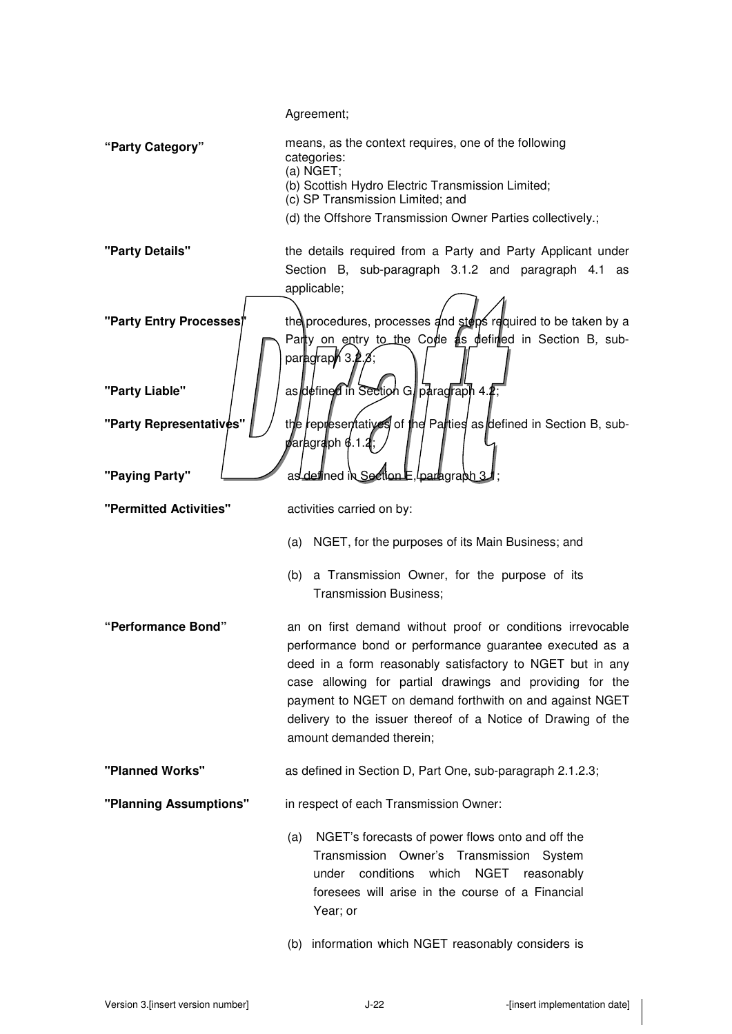Agreement; **"Party Category"** means, as the context requires, one of the following categories: (a) NGET; (b) Scottish Hydro Electric Transmission Limited; (c) SP Transmission Limited; and (d) the Offshore Transmission Owner Parties collectively.; **"Party Details"** the details required from a Party and Party Applicant under Section B, sub-paragraph 3.1.2 and paragraph 4.1 as applicable; **"Party Entry Processes**" ine procedures, processes and steps required to be taken by a Party on entry to the Code as defined in Section B, subparagraph 3 **"Party Liable"** | | | as defined in Section G, paragraph 4. **"Party Representatives"** | / the representatives of the Parties as defined in Section B, subfaragraph 6.1 **"Paying Party" Lettion E, paying Party"** as defined **"Permitted Activities"** activities carried on by: (a) NGET, for the purposes of its Main Business; and (b) a Transmission Owner, for the purpose of its Transmission Business; **"Performance Bond"** an on first demand without proof or conditions irrevocable performance bond or performance guarantee executed as a deed in a form reasonably satisfactory to NGET but in any case allowing for partial drawings and providing for the payment to NGET on demand forthwith on and against NGET delivery to the issuer thereof of a Notice of Drawing of the amount demanded therein; **"Planned Works"** as defined in Section D, Part One, sub-paragraph 2.1.2.3; **"Planning Assumptions"** in respect of each Transmission Owner: (a) NGET's forecasts of power flows onto and off the Transmission Owner's Transmission System under conditions which NGET reasonably foresees will arise in the course of a Financial Year; or (b) information which NGET reasonably considers is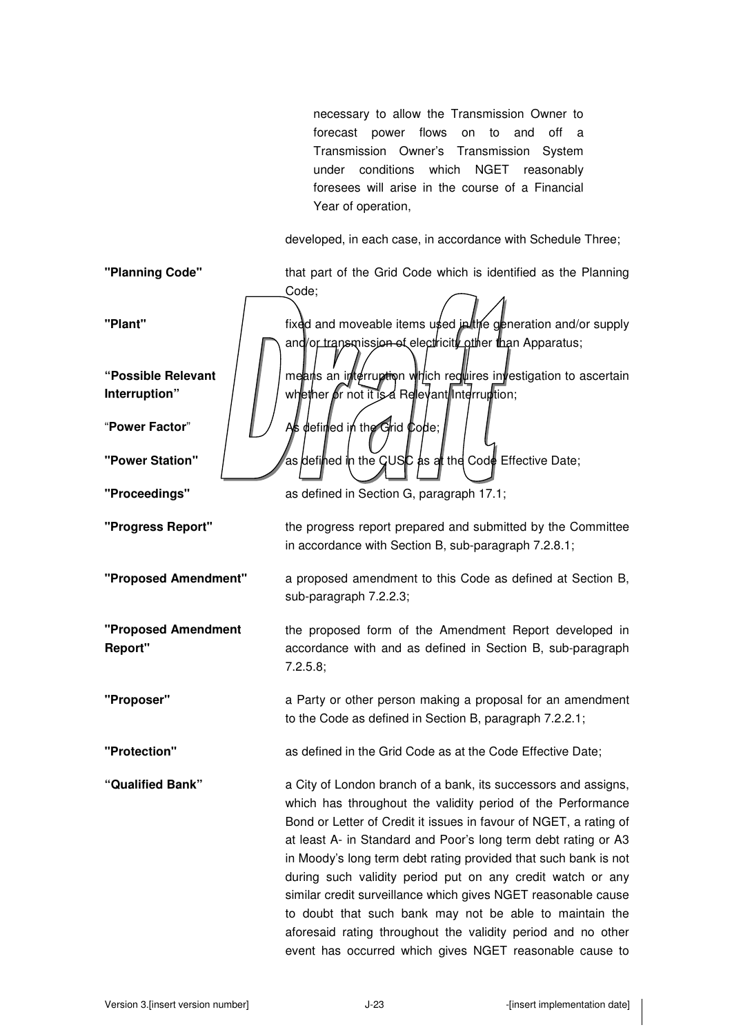necessary to allow the Transmission Owner to forecast power flows on to and off a Transmission Owner's Transmission System under conditions which NGET reasonably foresees will arise in the course of a Financial Year of operation,

developed, in each case, in accordance with Schedule Three;

**"Planning Code"** that part of the Grid Code which is identified as the Planning Code; **"Plant" fixed and moveable items used in the generation and/or supply in the fixed and moveable items used in the generation and/or supply** and/or transmission of electricity other than Apparatus; **"Possible Relevant Interruption"**  means an interruption which requires investigation to ascertain whether or not it is a Relevant Interruption; "**Power Factor"** As defined in the Grid Code; **"Power Station"** | as defined in the GUSC as at the Code Effective Date; **"Proceedings"** as defined in Section G, paragraph 17.1; **"Progress Report"** the progress report prepared and submitted by the Committee in accordance with Section B, sub-paragraph 7.2.8.1; **"Proposed Amendment"** a proposed amendment to this Code as defined at Section B, sub-paragraph 7.2.2.3; **"Proposed Amendment Report"**  the proposed form of the Amendment Report developed in accordance with and as defined in Section B, sub-paragraph 7.2.5.8; **"Proposer"** a Party or other person making a proposal for an amendment to the Code as defined in Section B, paragraph 7.2.2.1; **"Protection"** as defined in the Grid Code as at the Code Effective Date; **"Qualified Bank"** a City of London branch of a bank, its successors and assigns, which has throughout the validity period of the Performance Bond or Letter of Credit it issues in favour of NGET, a rating of at least A- in Standard and Poor's long term debt rating or A3 in Moody's long term debt rating provided that such bank is not during such validity period put on any credit watch or any similar credit surveillance which gives NGET reasonable cause to doubt that such bank may not be able to maintain the aforesaid rating throughout the validity period and no other event has occurred which gives NGET reasonable cause to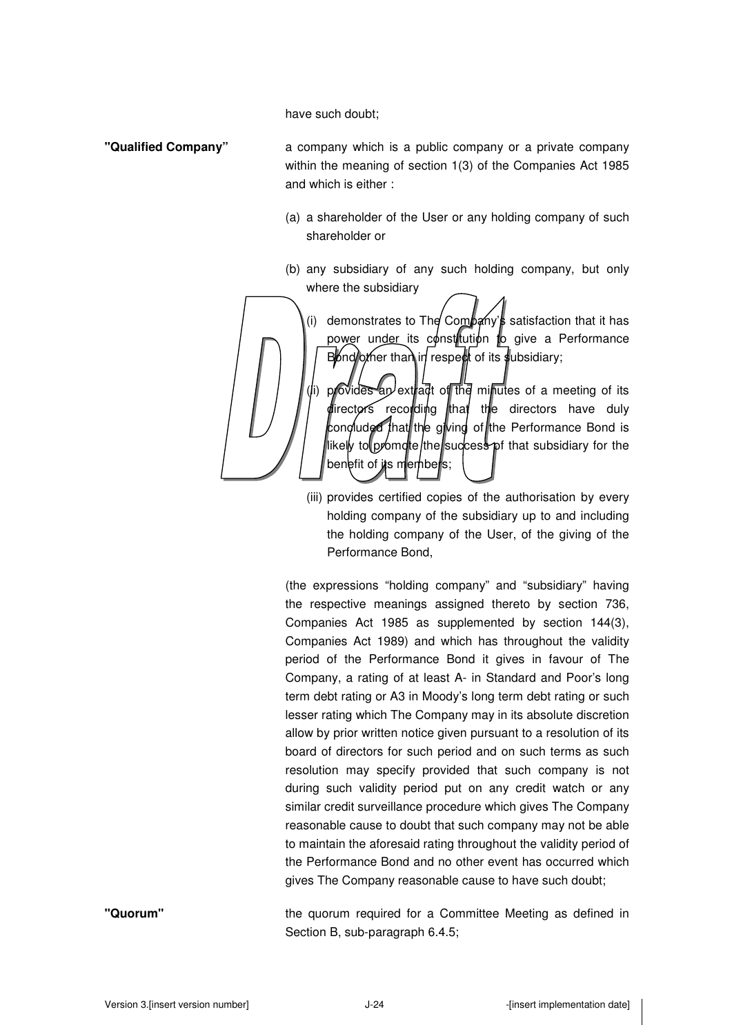have such doubt;

- **"Qualified Company"** a company which is a public company or a private company within the meaning of section 1(3) of the Companies Act 1985 and which is either :
	- (a) a shareholder of the User or any holding company of such shareholder or
	- (b) any subsidiary of any such holding company, but only where the subsidiary

(i) demonstrates to The Company's satisfaction that it has power under its constitution to give a Performance  $B$  of  $\alpha$  is than in respect of its subsidiary; (i) provides an extract of the minutes of a meeting of its

directors recording that the directors have duly concluded that the giving of the Performance Bond is likely to promote/the/success pf that subsidiary for the benefit of its members;

(iii) provides certified copies of the authorisation by every holding company of the subsidiary up to and including the holding company of the User, of the giving of the Performance Bond,

(the expressions "holding company" and "subsidiary" having the respective meanings assigned thereto by section 736, Companies Act 1985 as supplemented by section 144(3), Companies Act 1989) and which has throughout the validity period of the Performance Bond it gives in favour of The Company, a rating of at least A- in Standard and Poor's long term debt rating or A3 in Moody's long term debt rating or such lesser rating which The Company may in its absolute discretion allow by prior written notice given pursuant to a resolution of its board of directors for such period and on such terms as such resolution may specify provided that such company is not during such validity period put on any credit watch or any similar credit surveillance procedure which gives The Company reasonable cause to doubt that such company may not be able to maintain the aforesaid rating throughout the validity period of the Performance Bond and no other event has occurred which gives The Company reasonable cause to have such doubt;

**"Quorum"** the quorum required for a Committee Meeting as defined in Section B, sub-paragraph 6.4.5;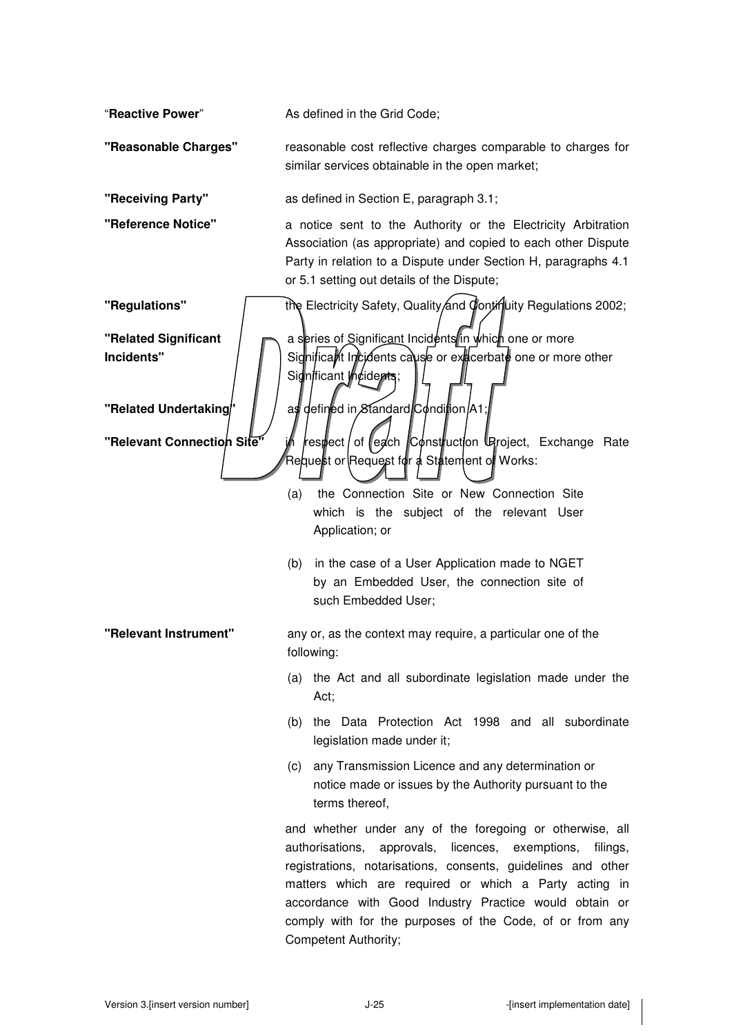"**Reactive Power**" As defined in the Grid Code; **"Reasonable Charges"** reasonable cost reflective charges comparable to charges for similar services obtainable in the open market; **"Receiving Party"** as defined in Section E, paragraph 3.1; **"Reference Notice"** a notice sent to the Authority or the Electricity Arbitration Association (as appropriate) and copied to each other Dispute Party in relation to a Dispute under Section H, paragraphs 4.1 or 5.1 setting out details of the Dispute; **"Regulations" the Electricity Safety, Quality and Continuity Regulations 2002; "Related Significant Incidents"**  a series of Significant Incidents in which one or more Significant Incidents cause or exacerbate one or more other Significant Incidents; **"Related Undertaking"** | | as defined in Standard Condition A1 **"Relevant Connection Site"** in respect of each Construction Uproject, Exchange Rate Request or Request for a Statement of Works: (a) the Connection Site or New Connection Site which is the subject of the relevant User Application; or (b) in the case of a User Application made to NGET by an Embedded User, the connection site of such Embedded User; **"Relevant Instrument"** any or, as the context may require, a particular one of the following: (a) the Act and all subordinate legislation made under the Act; (b) the Data Protection Act 1998 and all subordinate legislation made under it; (c) any Transmission Licence and any determination or notice made or issues by the Authority pursuant to the terms thereof, and whether under any of the foregoing or otherwise, all authorisations, approvals, licences, exemptions, filings, registrations, notarisations, consents, guidelines and other matters which are required or which a Party acting in accordance with Good Industry Practice would obtain or comply with for the purposes of the Code, of or from any

Competent Authority;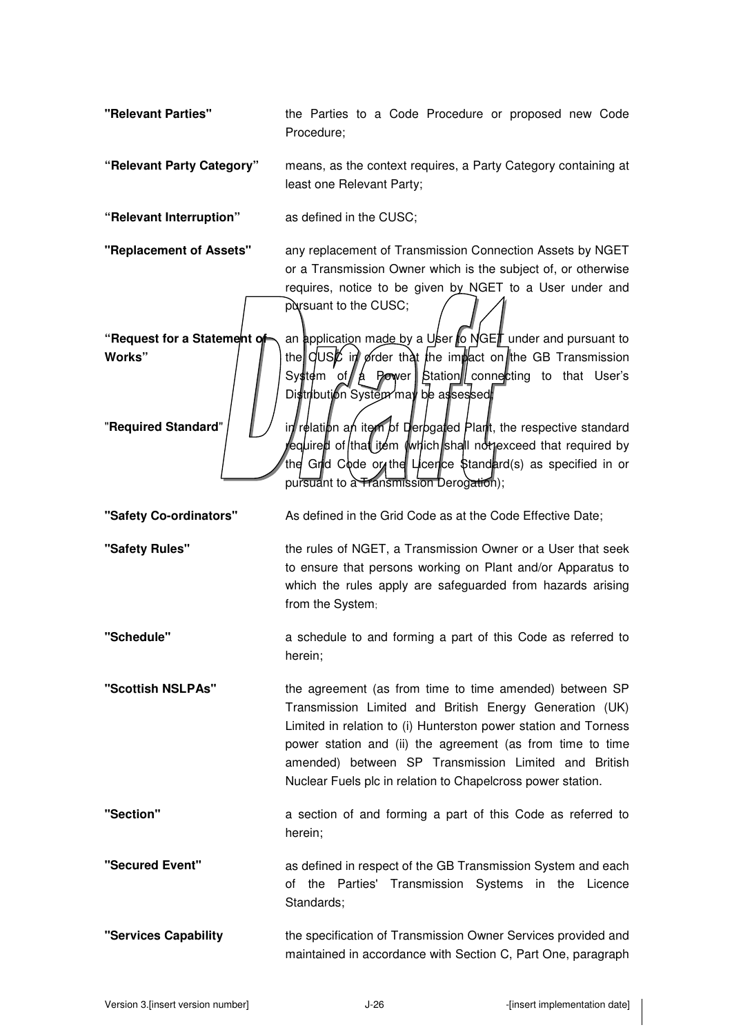**"Relevant Parties"** the Parties to a Code Procedure or proposed new Code Procedure;

**"Relevant Party Category"** means, as the context requires, a Party Category containing at least one Relevant Party;

**"Relevant Interruption"** as defined in the CUSC;

**"Replacement of Assets"** any replacement of Transmission Connection Assets by NGET or a Transmission Owner which is the subject of, or otherwise requires, notice to be given by NGET to a User under and pursuant to the CUSC;

**"Request for a Statement of Works"** 

an application made by a User to NGET under and pursuant to the CUSC in order that the impact on the GB Transmission System of  $\oint A$  Power Station connecting to that User's Distribution System may be assessed

**"Required Standard"** in  $\mathbb{I}$  in relation and item of Derogated Plant, the respective standard equired of that item (which shall not exceed that required by the Grid Code or the Licence Standard(s) as specified in or pursuant to a Transmission Derogation);

**"Safety Co-ordinators"** As defined in the Grid Code as at the Code Effective Date;

**"Safety Rules"** the rules of NGET, a Transmission Owner or a User that seek to ensure that persons working on Plant and/or Apparatus to which the rules apply are safeguarded from hazards arising from the System;

**"Schedule"** a schedule to and forming a part of this Code as referred to herein;

**"Scottish NSLPAs"** the agreement (as from time to time amended) between SP Transmission Limited and British Energy Generation (UK) Limited in relation to (i) Hunterston power station and Torness power station and (ii) the agreement (as from time to time amended) between SP Transmission Limited and British Nuclear Fuels plc in relation to Chapelcross power station.

**"Section"** a section of and forming a part of this Code as referred to herein;

**"Secured Event"** as defined in respect of the GB Transmission System and each of the Parties' Transmission Systems in the Licence Standards;

**"Services Capability** the specification of Transmission Owner Services provided and maintained in accordance with Section C, Part One, paragraph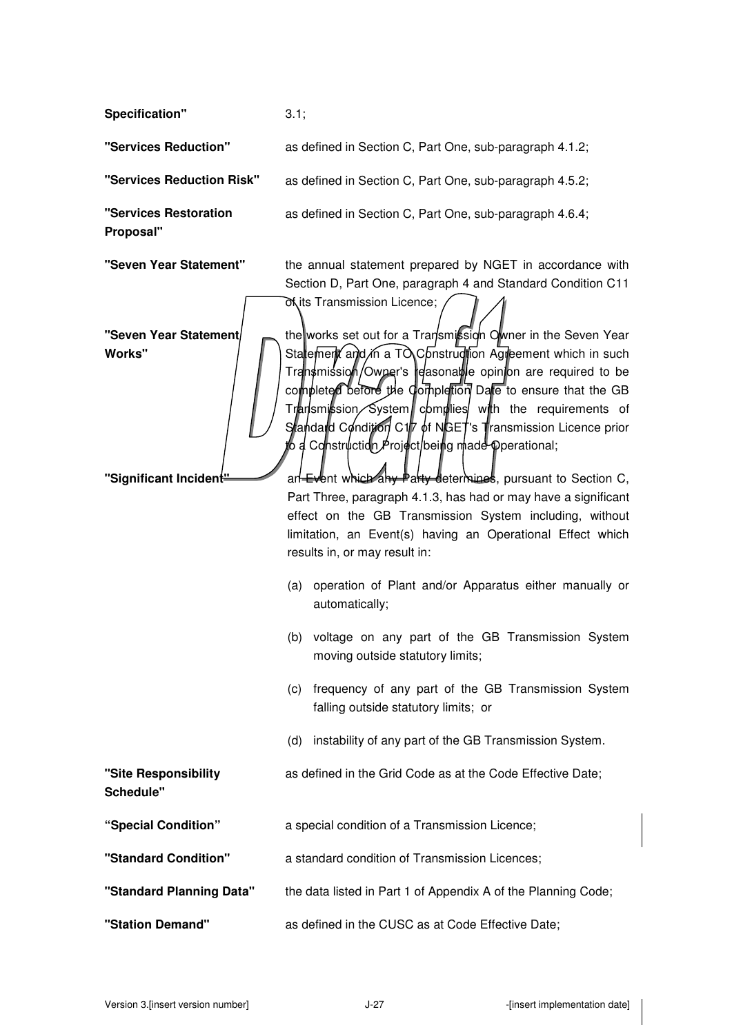**Specification"** 3.1;

**"Services Reduction"** as defined in Section C, Part One, sub-paragraph 4.1.2;

**"Services Reduction Risk"** as defined in Section C, Part One, sub-paragraph 4.5.2;

**"Services Restoration Proposal"** 

**"Seven Year Statement Works"** 

**"Seven Year Statement"** the annual statement prepared by NGET in accordance with Section D, Part One, paragraph 4 and Standard Condition C11 of its Transmission Licence;

as defined in Section C, Part One, sub-paragraph 4.6.4;

the works set out for a Transmission Owner in the Seven Year Statement and in a TO Construction Agreement which in such Transmission/Owner's reasonable opinion are required to be completed before the Completion Date to ensure that the GB  $Tr<sub>4</sub>$  Transmit  $\frac{1}{2}$  System complies with the requirements of Standard Condition C17 of NGET's Transmission Licence prior d Construction Project/being made Operational;

**"Significant Incident"** and Event which any Party determines, pursuant to Section C, Part Three, paragraph 4.1.3, has had or may have a significant effect on the GB Transmission System including, without limitation, an Event(s) having an Operational Effect which results in, or may result in:

- (a) operation of Plant and/or Apparatus either manually or automatically;
- (b) voltage on any part of the GB Transmission System moving outside statutory limits;
- (c) frequency of any part of the GB Transmission System falling outside statutory limits; or
- (d) instability of any part of the GB Transmission System.

**"Site Responsibility**  as defined in the Grid Code as at the Code Effective Date;

**Schedule"** 

- **"Special Condition"** a special condition of a Transmission Licence;
- **"Standard Condition"** a standard condition of Transmission Licences;
- **"Standard Planning Data"** the data listed in Part 1 of Appendix A of the Planning Code;
- **"Station Demand"** as defined in the CUSC as at Code Effective Date;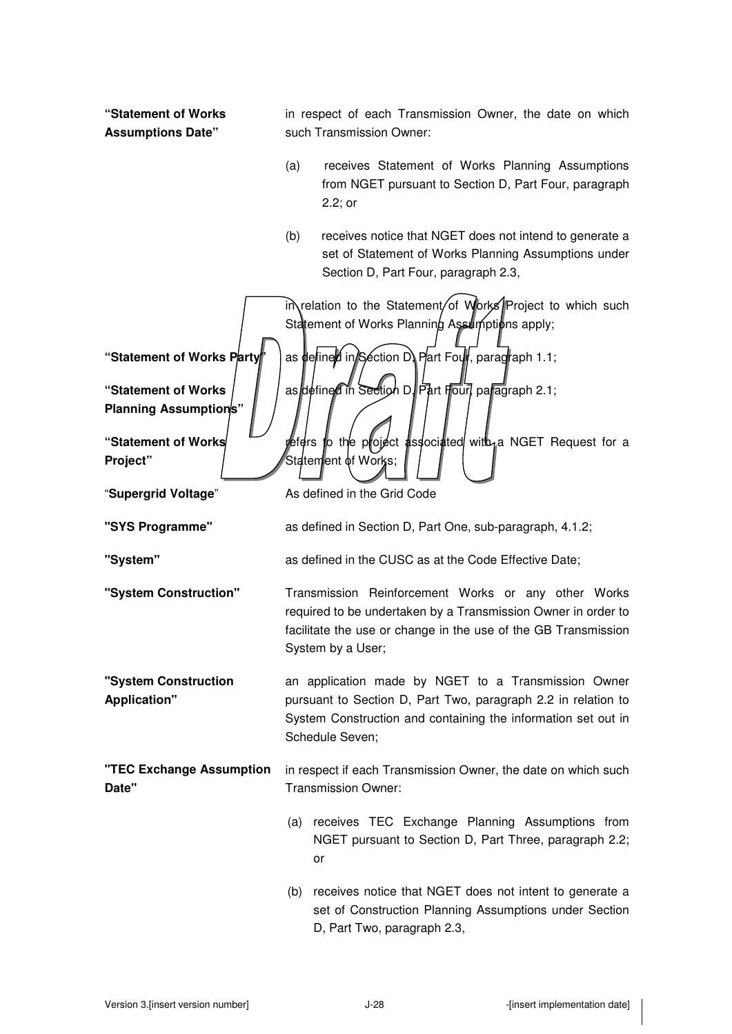| "Statement of Works<br><b>Assumptions Date"</b> | in respect of each Transmission Owner, the date on which<br>such Transmission Owner:                                                                                                                        |
|-------------------------------------------------|-------------------------------------------------------------------------------------------------------------------------------------------------------------------------------------------------------------|
|                                                 | (a)<br>receives Statement of Works Planning Assumptions<br>from NGET pursuant to Section D, Part Four, paragraph<br>2.2; or                                                                                 |
|                                                 | (b)<br>receives notice that NGET does not intend to generate a<br>set of Statement of Works Planning Assumptions under<br>Section D, Part Four, paragraph 2.3,                                              |
|                                                 | in relation to the Statement/of Works Project to which such<br>Statement of Works Planning Assulm ptions apply;                                                                                             |
| "Statement of Works Party                       | as defined in Section D) Part Four, paragraph 1.1;                                                                                                                                                          |
| "Statement of Works<br>Planning Assumptions"    | as defined in Section D. Part Four, paragraph 2.1;                                                                                                                                                          |
| "Statement of Works<br>Project"                 | yefers to the project associated with a NGET Request for a<br>Statement of Works;                                                                                                                           |
| "Supergrid Voltage"                             | As defined in the Grid Code                                                                                                                                                                                 |
| "SYS Programme"                                 | as defined in Section D, Part One, sub-paragraph, 4.1.2;                                                                                                                                                    |
| "System"                                        | as defined in the CUSC as at the Code Effective Date;                                                                                                                                                       |
| "System Construction"                           | Transmission Reinforcement Works or any other Works<br>required to be undertaken by a Transmission Owner in order to<br>facilitate the use or change in the use of the GB Transmission<br>System by a User; |
| "System Construction<br><b>Application"</b>     | an application made by NGET to a Transmission Owner<br>pursuant to Section D, Part Two, paragraph 2.2 in relation to<br>System Construction and containing the information set out in<br>Schedule Seven;    |
| "TEC Exchange Assumption<br>Date"               | in respect if each Transmission Owner, the date on which such<br>Transmission Owner:                                                                                                                        |
|                                                 | (a) receives TEC Exchange Planning Assumptions from<br>NGET pursuant to Section D, Part Three, paragraph 2.2;<br>or                                                                                         |
|                                                 | (b) receives notice that NGET does not intent to generate a<br>set of Construction Planning Assumptions under Section<br>D, Part Two, paragraph 2.3,                                                        |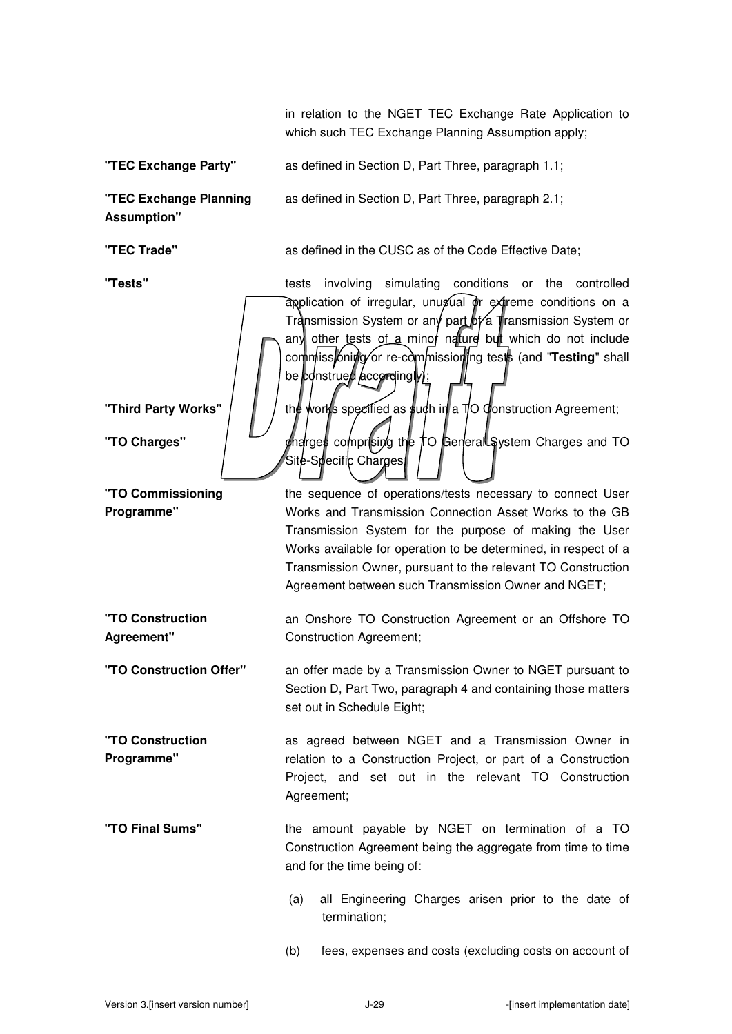in relation to the NGET TEC Exchange Rate Application to which such TEC Exchange Planning Assumption apply;

**"TEC Exchange Party"** as defined in Section D, Part Three, paragraph 1.1;

Site-Specific Charges

**"TEC Exchange Planning Assumption"**  as defined in Section D, Part Three, paragraph 2.1;

**"TEC Trade"** as defined in the CUSC as of the Code Effective Date;

**"Tests"** tests involving simulating conditions or the controlled application of irregular, unusual or extreme conditions on a Transmission System or any part  $\frac{1}{2}$  Transmission System or any other tests of a minor nature but which do not include commissioning or re-commissioning tests (and "**Testing**" shall be construed accordingly);

**"Third Party Works"**  $\parallel$   $\parallel$   $\parallel$  the works specified as such in a TO Construction Agreement;

**"TO Charges"** | stating the resolution of the TO General System Charges and TO

**"TO Commissioning Programme"** 

**"TO Construction Agreement"** 

**"TO Construction Programme"** 

the sequence of operations/tests necessary to connect User Works and Transmission Connection Asset Works to the GB Transmission System for the purpose of making the User Works available for operation to be determined, in respect of a Transmission Owner, pursuant to the relevant TO Construction Agreement between such Transmission Owner and NGET;

an Onshore TO Construction Agreement or an Offshore TO Construction Agreement;

**"TO Construction Offer"** an offer made by a Transmission Owner to NGET pursuant to Section D, Part Two, paragraph 4 and containing those matters set out in Schedule Eight;

as agreed between NGET and a Transmission Owner in relation to a Construction Project, or part of a Construction Project, and set out in the relevant TO Construction Agreement;

- **"TO Final Sums"** the amount payable by NGET on termination of a TO Construction Agreement being the aggregate from time to time and for the time being of:
	- (a) all Engineering Charges arisen prior to the date of termination;
	- (b) fees, expenses and costs (excluding costs on account of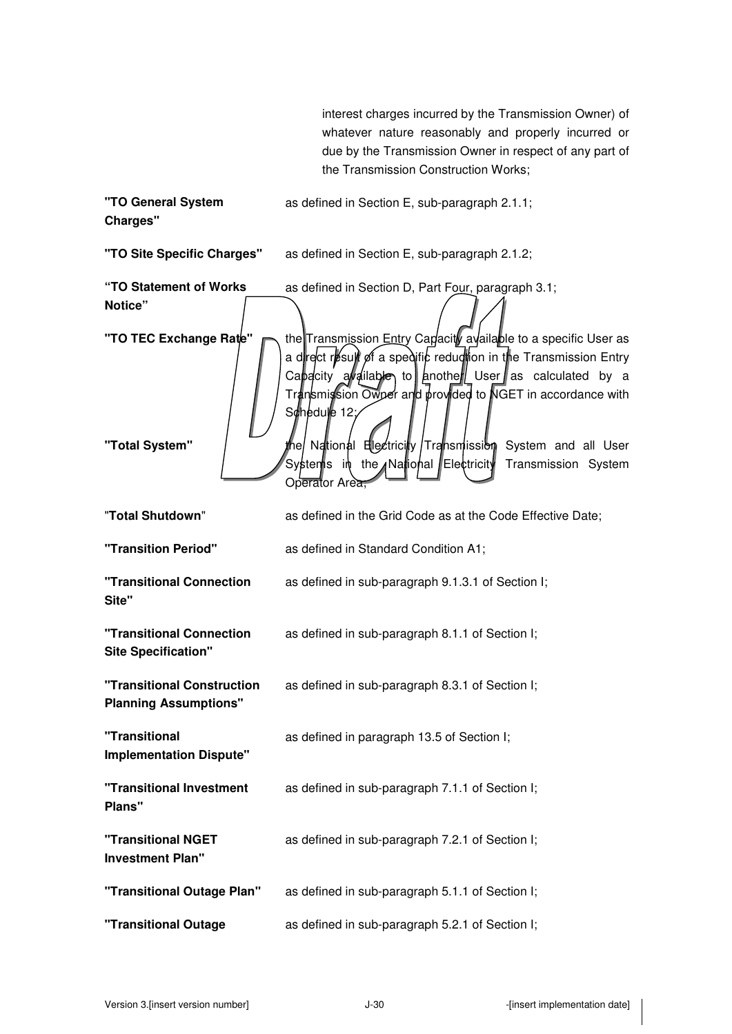|                                                            | interest charges incurred by the Transmission Owner) of                                                                                                                                                                                                                                |
|------------------------------------------------------------|----------------------------------------------------------------------------------------------------------------------------------------------------------------------------------------------------------------------------------------------------------------------------------------|
|                                                            | whatever nature reasonably and properly incurred or<br>due by the Transmission Owner in respect of any part of                                                                                                                                                                         |
|                                                            | the Transmission Construction Works;                                                                                                                                                                                                                                                   |
| "TO General System<br>Charges"                             | as defined in Section E, sub-paragraph 2.1.1;                                                                                                                                                                                                                                          |
| "TO Site Specific Charges"                                 | as defined in Section E, sub-paragraph 2.1.2;                                                                                                                                                                                                                                          |
| "TO Statement of Works<br>Notice"                          | as defined in Section D, Part Four, paragraph 3.1;                                                                                                                                                                                                                                     |
| "TO TEC Exchange Rate"                                     | the Transmission Entry Capacity available to a specific User as<br>a drect result of a spedific reduction in the Transmission Entry<br>Capacity available to $\parallel$ another User as calculated by a<br>Transmission Owner and provided to NGET in accordance with<br>Schedule 12; |
| "Total System"                                             | the/ National Ellectricity /Transmission System and all User<br>Systen¶s in the National Electricity<br>Transmission System<br>Operator Area,                                                                                                                                          |
| "Total Shutdown"                                           | as defined in the Grid Code as at the Code Effective Date;                                                                                                                                                                                                                             |
| "Transition Period"                                        | as defined in Standard Condition A1;                                                                                                                                                                                                                                                   |
| "Transitional Connection<br>Site"                          | as defined in sub-paragraph 9.1.3.1 of Section I;                                                                                                                                                                                                                                      |
| "Transitional Connection<br><b>Site Specification"</b>     | as defined in sub-paragraph 8.1.1 of Section I;                                                                                                                                                                                                                                        |
| "Transitional Construction<br><b>Planning Assumptions"</b> | as defined in sub-paragraph 8.3.1 of Section I;                                                                                                                                                                                                                                        |
| "Transitional<br><b>Implementation Dispute"</b>            | as defined in paragraph 13.5 of Section I;                                                                                                                                                                                                                                             |
| "Transitional Investment<br>Plans"                         | as defined in sub-paragraph 7.1.1 of Section I;                                                                                                                                                                                                                                        |
| "Transitional NGET<br><b>Investment Plan"</b>              | as defined in sub-paragraph 7.2.1 of Section I;                                                                                                                                                                                                                                        |
| "Transitional Outage Plan"                                 | as defined in sub-paragraph 5.1.1 of Section I;                                                                                                                                                                                                                                        |
| "Transitional Outage                                       | as defined in sub-paragraph 5.2.1 of Section I;                                                                                                                                                                                                                                        |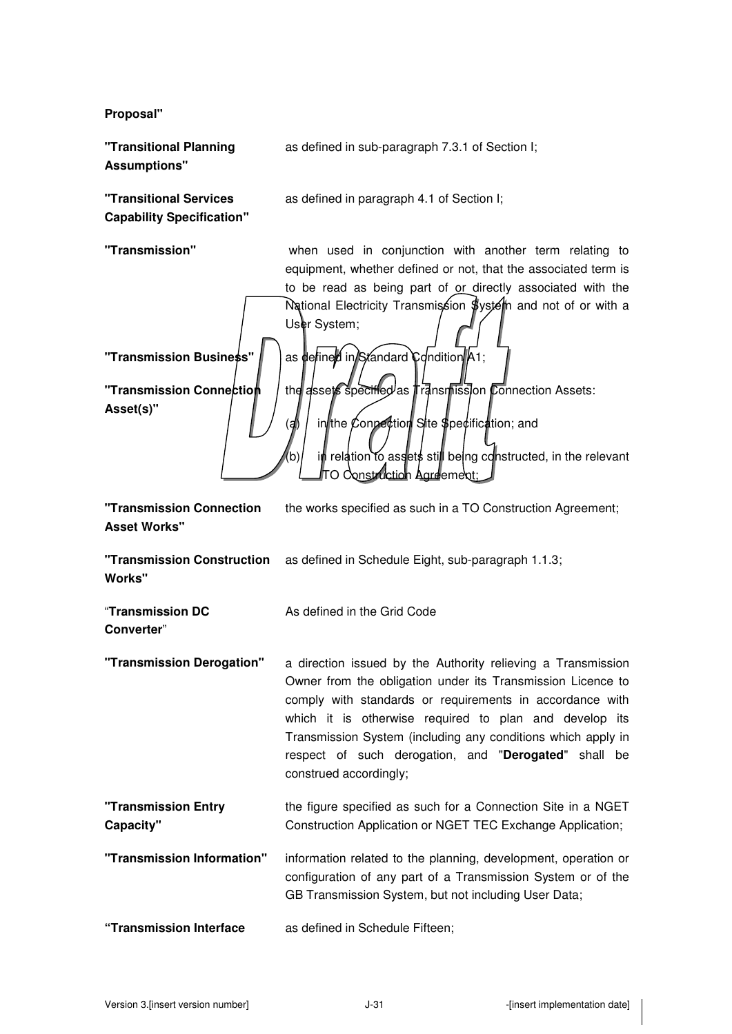**Proposal"** 

**"Transitional Planning Assumptions"**  as defined in sub-paragraph 7.3.1 of Section I;

**"Transitional Services Capability Specification"**  as defined in paragraph 4.1 of Section I;

**"Transmission"** when used in conjunction with another term relating to equipment, whether defined or not, that the associated term is to be read as being part of or directly associated with the National Electricity Transmission \$ystem and not of or with a User System; **"Transmission Business"** | as defined in Standard Condition A1; **"Transmission Connection Asset(s)"**  the assets specified as Transmission Connection Assets: in the Connection Site Specification; and b) in relation to assets still being constructed, in the relevant TO Construction Agreement;

**"Transmission Connection Asset Works"**  the works specified as such in a TO Construction Agreement;

As defined in the Grid Code

**"Transmission Construction**  as defined in Schedule Eight, sub-paragraph 1.1.3; **Works"** 

"**Transmission DC Converter**"

**"Transmission Derogation"** a direction issued by the Authority relieving a Transmission Owner from the obligation under its Transmission Licence to comply with standards or requirements in accordance with which it is otherwise required to plan and develop its Transmission System (including any conditions which apply in respect of such derogation, and "**Derogated**" shall be construed accordingly;

**"Transmission Entry Capacity"**  the figure specified as such for a Connection Site in a NGET Construction Application or NGET TEC Exchange Application;

**"Transmission Information"** information related to the planning, development, operation or configuration of any part of a Transmission System or of the GB Transmission System, but not including User Data;

**"Transmission Interface** as defined in Schedule Fifteen;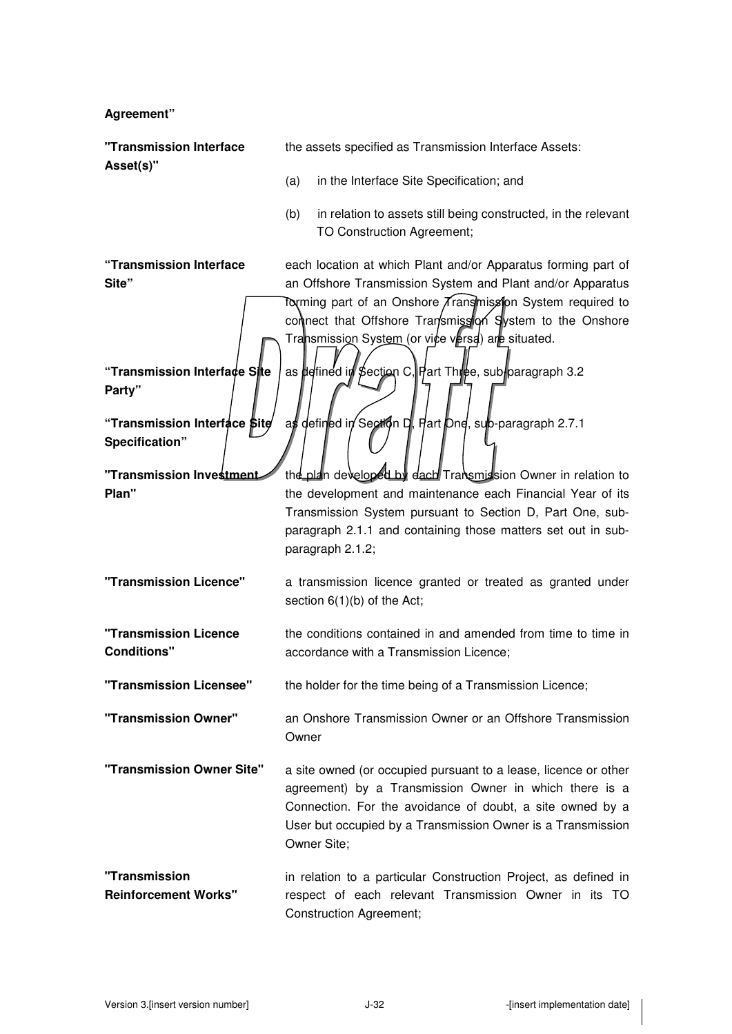| Agreement"                                                       |                                                                                                                                                                                                                                                                                                                                                                      |
|------------------------------------------------------------------|----------------------------------------------------------------------------------------------------------------------------------------------------------------------------------------------------------------------------------------------------------------------------------------------------------------------------------------------------------------------|
| "Transmission Interface<br>Asset(s)"                             | the assets specified as Transmission Interface Assets:                                                                                                                                                                                                                                                                                                               |
|                                                                  | in the Interface Site Specification; and<br>(a)                                                                                                                                                                                                                                                                                                                      |
|                                                                  | in relation to assets still being constructed, in the relevant<br>(b)<br>TO Construction Agreement;                                                                                                                                                                                                                                                                  |
| "Transmission Interface<br>Site"<br>"Transmission Interface Site | each location at which Plant and/or Apparatus forming part of<br>an Offshore Transmission System and Plant and/or Apparatus<br>Torming part of an Onshore Trangmiss on System required to<br>comnect that Offshore Transmission System to the Onshore<br>Transmission System (or vice versa) are situated.<br>as defined in Section C, Hart Three, sub paragraph 3.2 |
| Party"<br>"Transmission Interface Site<br>Specification"         | as defined in Section D. Hart One, sub-paragraph 2.7.1                                                                                                                                                                                                                                                                                                               |
| "Transmission Inve <del>stment</del><br>Plan"                    | the plan developed by dach Transmission Owner in relation to<br>the development and maintenance each Financial Year of its<br>Transmission System pursuant to Section D, Part One, sub-<br>paragraph 2.1.1 and containing those matters set out in sub-<br>paragraph 2.1.2;                                                                                          |
| "Transmission Licence"                                           | a transmission licence granted or treated as granted under<br>section $6(1)(b)$ of the Act;                                                                                                                                                                                                                                                                          |
| "Transmission Licence<br><b>Conditions"</b>                      | the conditions contained in and amended from time to time in<br>accordance with a Transmission Licence;                                                                                                                                                                                                                                                              |
| "Transmission Licensee"                                          | the holder for the time being of a Transmission Licence;                                                                                                                                                                                                                                                                                                             |
| "Transmission Owner"                                             | an Onshore Transmission Owner or an Offshore Transmission<br>Owner                                                                                                                                                                                                                                                                                                   |
| "Transmission Owner Site"                                        | a site owned (or occupied pursuant to a lease, licence or other<br>agreement) by a Transmission Owner in which there is a<br>Connection. For the avoidance of doubt, a site owned by a<br>User but occupied by a Transmission Owner is a Transmission<br>Owner Site;                                                                                                 |
| "Transmission<br><b>Reinforcement Works"</b>                     | in relation to a particular Construction Project, as defined in<br>respect of each relevant Transmission Owner in its TO<br><b>Construction Agreement;</b>                                                                                                                                                                                                           |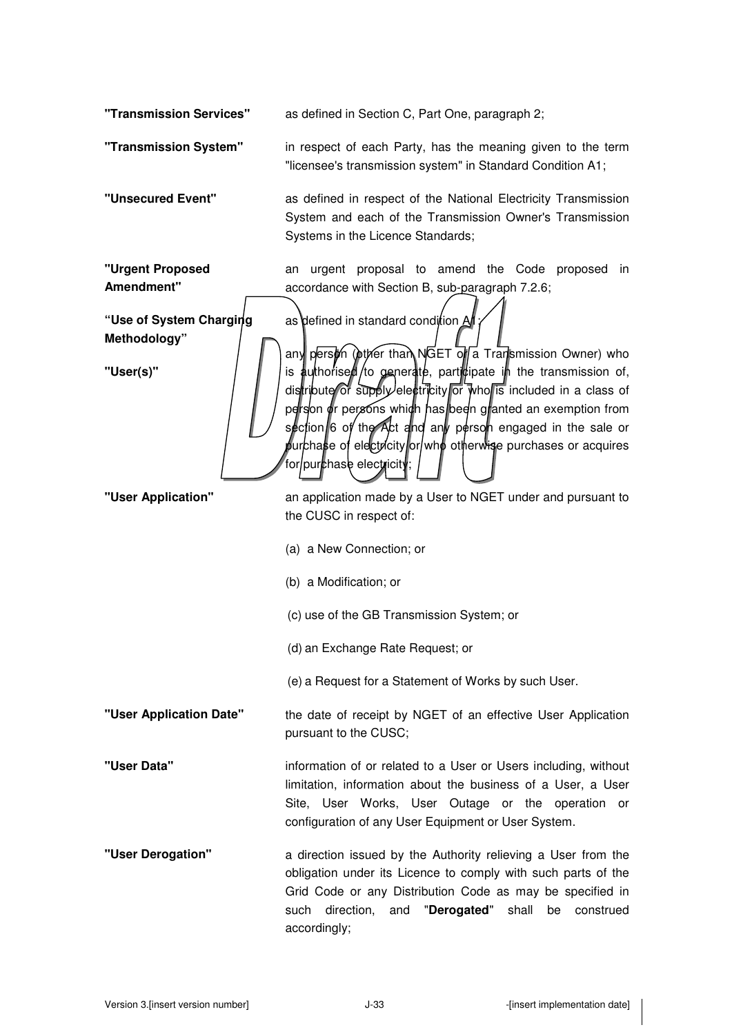**"Transmission Services"** as defined in Section C, Part One, paragraph 2;

**"Transmission System"** in respect of each Party, has the meaning given to the term "licensee's transmission system" in Standard Condition A1;

**"Unsecured Event"** as defined in respect of the National Electricity Transmission System and each of the Transmission Owner's Transmission Systems in the Licence Standards;

**"Urgent Proposed Amendment"**  an urgent proposal to amend the Code proposed in accordance with Section B, sub-paragraph 7.2.6;

**"Use of System Charging Methodology"** 

**"User(s)"** 

as defined in standard condition A any person (other than NGET of a Transmission Owner) who is authorised/to generate, participate in the transmission of, distribute or supply electricity or who is included in a class of person or persons which has been granted an exemption from section 6 of the Act and any person engaged in the sale or purchase of electricity or who otherwise purchases or acquires for/pur**c**hase electricity;

**"User Application"** an application made by a User to NGET under and pursuant to the CUSC in respect of:

- (a) a New Connection; or
- (b) a Modification; or
- (c) use of the GB Transmission System; or
- (d) an Exchange Rate Request; or
- (e) a Request for a Statement of Works by such User.

# **"User Application Date"** the date of receipt by NGET of an effective User Application pursuant to the CUSC;

**"User Data"** information of or related to a User or Users including, without limitation, information about the business of a User, a User Site, User Works, User Outage or the operation or configuration of any User Equipment or User System.

**"User Derogation"** a direction issued by the Authority relieving a User from the obligation under its Licence to comply with such parts of the Grid Code or any Distribution Code as may be specified in such direction, and "**Derogated**" shall be construed accordingly;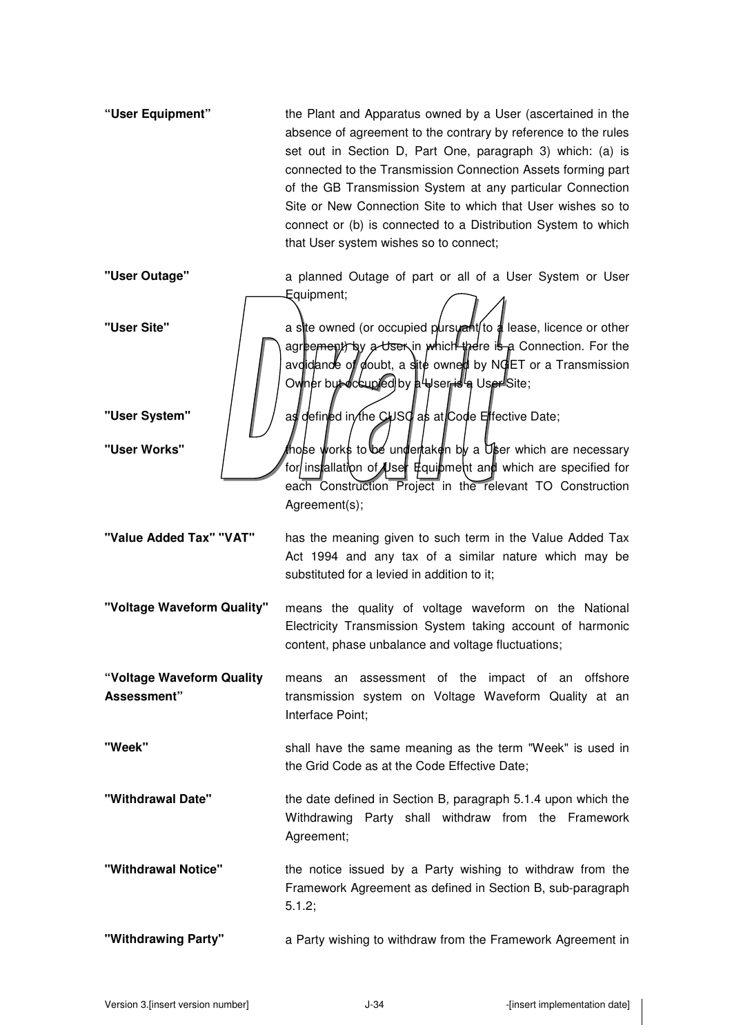- **"User Equipment"** the Plant and Apparatus owned by a User (ascertained in the absence of agreement to the contrary by reference to the rules set out in Section D, Part One, paragraph 3) which: (a) is connected to the Transmission Connection Assets forming part of the GB Transmission System at any particular Connection Site or New Connection Site to which that User wishes so to connect or (b) is connected to a Distribution System to which that User system wishes so to connect;
- 

**"User Outage"** a planned Outage of part or all of a User System or User Equipment;

"User Site" **a** site owned (or occupied pursuant to a lease, licence or other agreement by a User in which there is a Connection. For the avoidance of doubt, a site owned by NGET or a Transmission Owner but occupied by a Weser is a User Site;

**"User System"** | | | as defined in the CUSC as at Code Effective Date:

**"User Works"** / those works to be undertaken by a User which are necessary for installation of User Equipment and which are specified for each Construction Project in the relevant TO Construction Agreement(s);

**"Value Added Tax" "VAT"** has the meaning given to such term in the Value Added Tax Act 1994 and any tax of a similar nature which may be substituted for a levied in addition to it;

**"Voltage Waveform Quality"** means the quality of voltage waveform on the National Electricity Transmission System taking account of harmonic content, phase unbalance and voltage fluctuations;

**"Voltage Waveform Quality Assessment"**  means an assessment of the impact of an offshore transmission system on Voltage Waveform Quality at an Interface Point;

- **"Week"**  shall have the same meaning as the term "Week" is used in the Grid Code as at the Code Effective Date;
- **"Withdrawal Date"** the date defined in Section B, paragraph 5.1.4 upon which the Withdrawing Party shall withdraw from the Framework Agreement;
- **"Withdrawal Notice"** the notice issued by a Party wishing to withdraw from the Framework Agreement as defined in Section B, sub-paragraph 5.1.2;

**"Withdrawing Party"** a Party wishing to withdraw from the Framework Agreement in